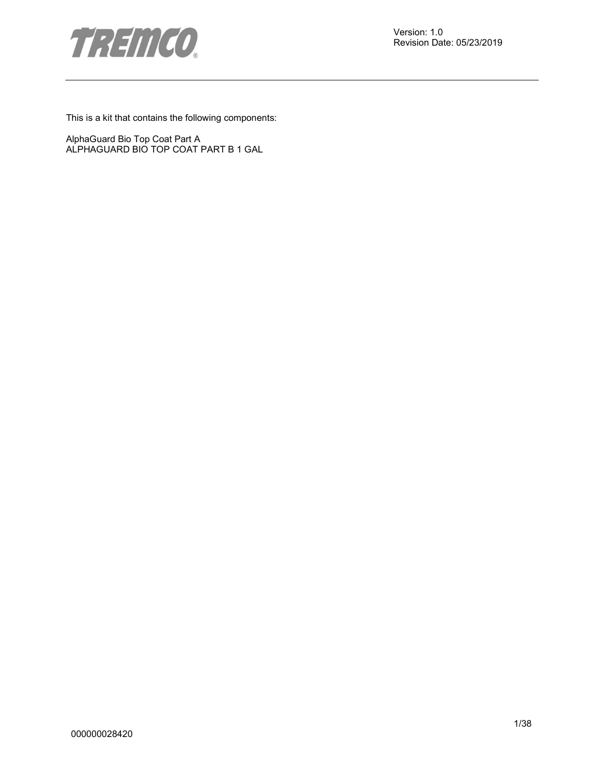

This is a kit that contains the following components:

AlphaGuard Bio Top Coat Part A ALPHAGUARD BIO TOP COAT PART B 1 GAL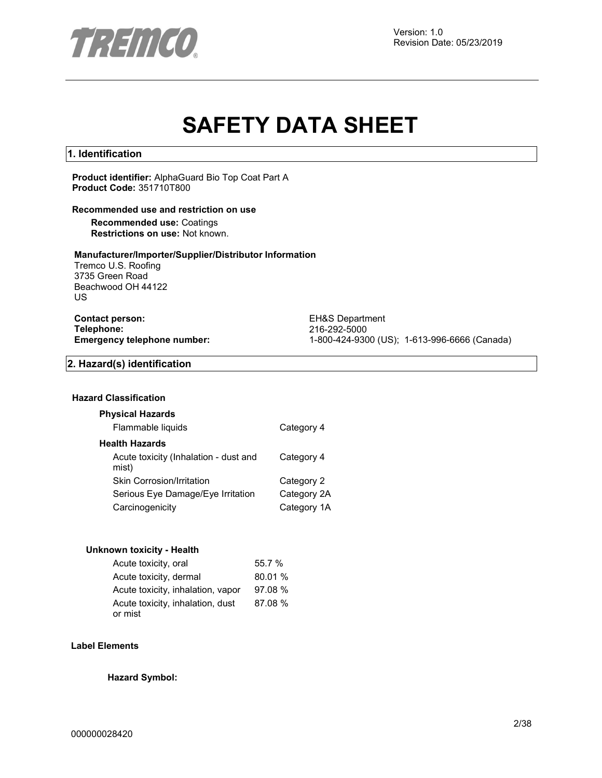

# **SAFETY DATA SHEET**

#### **1. Identification**

**Product identifier:** AlphaGuard Bio Top Coat Part A **Product Code:** 351710T800

#### **Recommended use and restriction on use**

**Recommended use:** Coatings **Restrictions on use:** Not known.

#### **Manufacturer/Importer/Supplier/Distributor Information**

Tremco U.S. Roofing 3735 Green Road Beachwood OH 44122 US

**Contact person:** EH&S Department<br>
Telephone: 216-292-5000 **Telephone:** 216-292-5000

**Emergency telephone number:** 1-800-424-9300 (US); 1-613-996-6666 (Canada)

#### **2. Hazard(s) identification**

#### **Hazard Classification**

#### **Physical Hazards**

| Flammable liquids | Category 4 |
|-------------------|------------|
|-------------------|------------|

#### **Health Hazards**

| Acute toxicity (Inhalation - dust and<br>mist) | Category 4  |
|------------------------------------------------|-------------|
| <b>Skin Corrosion/Irritation</b>               | Category 2  |
| Serious Eye Damage/Eye Irritation              | Category 2A |
| Carcinogenicity                                | Category 1A |

#### **Unknown toxicity - Health**

| Acute toxicity, oral                        | 55.7 %  |
|---------------------------------------------|---------|
| Acute toxicity, dermal                      | 80.01 % |
| Acute toxicity, inhalation, vapor           | 97.08 % |
| Acute toxicity, inhalation, dust<br>or mist | 87.08 % |

#### **Label Elements**

**Hazard Symbol:**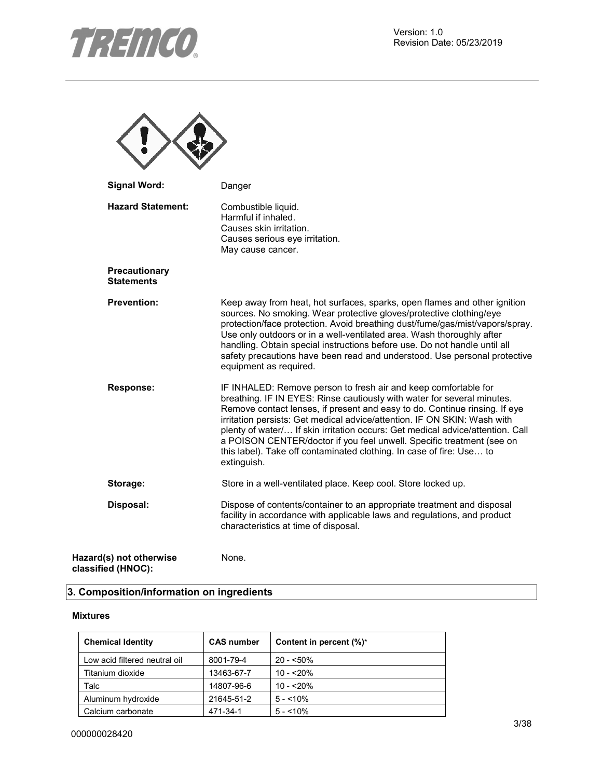

| <b>Signal Word:</b>                           | Danger                                                                                                                                                                                                                                                                                                                                                                                                                                                                                                                                                 |
|-----------------------------------------------|--------------------------------------------------------------------------------------------------------------------------------------------------------------------------------------------------------------------------------------------------------------------------------------------------------------------------------------------------------------------------------------------------------------------------------------------------------------------------------------------------------------------------------------------------------|
| <b>Hazard Statement:</b>                      | Combustible liquid.<br>Harmful if inhaled.<br>Causes skin irritation.<br>Causes serious eye irritation.<br>May cause cancer.                                                                                                                                                                                                                                                                                                                                                                                                                           |
| Precautionary<br><b>Statements</b>            |                                                                                                                                                                                                                                                                                                                                                                                                                                                                                                                                                        |
| <b>Prevention:</b>                            | Keep away from heat, hot surfaces, sparks, open flames and other ignition<br>sources. No smoking. Wear protective gloves/protective clothing/eye<br>protection/face protection. Avoid breathing dust/fume/gas/mist/vapors/spray.<br>Use only outdoors or in a well-ventilated area. Wash thoroughly after<br>handling. Obtain special instructions before use. Do not handle until all<br>safety precautions have been read and understood. Use personal protective<br>equipment as required.                                                          |
| Response:                                     | IF INHALED: Remove person to fresh air and keep comfortable for<br>breathing. IF IN EYES: Rinse cautiously with water for several minutes.<br>Remove contact lenses, if present and easy to do. Continue rinsing. If eye<br>irritation persists: Get medical advice/attention. IF ON SKIN: Wash with<br>plenty of water/ If skin irritation occurs: Get medical advice/attention. Call<br>a POISON CENTER/doctor if you feel unwell. Specific treatment (see on<br>this label). Take off contaminated clothing. In case of fire: Use to<br>extinguish. |
| Storage:                                      | Store in a well-ventilated place. Keep cool. Store locked up.                                                                                                                                                                                                                                                                                                                                                                                                                                                                                          |
| Disposal:                                     | Dispose of contents/container to an appropriate treatment and disposal<br>facility in accordance with applicable laws and regulations, and product<br>characteristics at time of disposal.                                                                                                                                                                                                                                                                                                                                                             |
| Hazard(s) not otherwise<br>classified (HNOC): | None.                                                                                                                                                                                                                                                                                                                                                                                                                                                                                                                                                  |

# **3. Composition/information on ingredients**

#### **Mixtures**

| <b>Chemical Identity</b>      | <b>CAS number</b> | Content in percent $(\%)^*$ |
|-------------------------------|-------------------|-----------------------------|
| Low acid filtered neutral oil | 8001-79-4         | $20 - 50\%$                 |
| Titanium dioxide              | 13463-67-7        | $10 - 20%$                  |
| Talc                          | 14807-96-6        | $10 - 20%$                  |
| Aluminum hydroxide            | 21645-51-2        | $5 - 10\%$                  |
| Calcium carbonate             | 471-34-1          | $5 - 10\%$                  |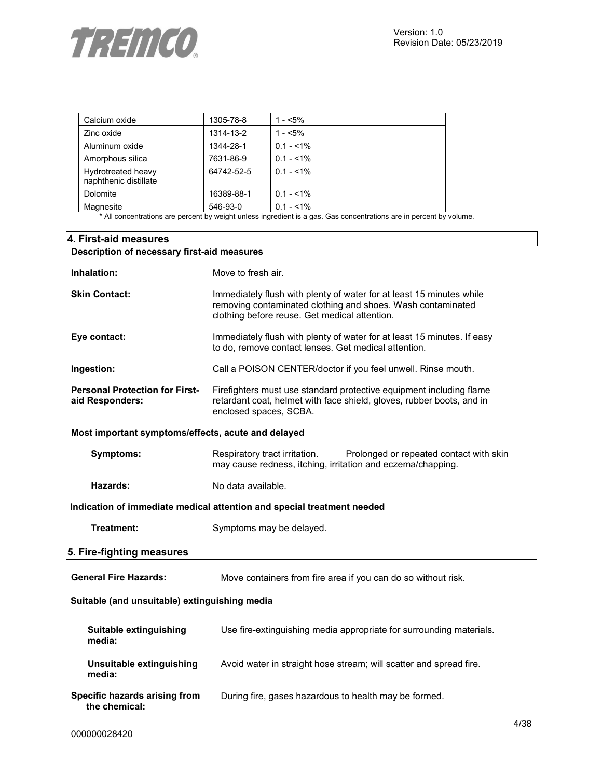

| Calcium oxide                               | 1305-78-8  | 1 - $< 5\%$ |
|---------------------------------------------|------------|-------------|
| Zinc oxide                                  | 1314-13-2  | $1 - 5\%$   |
| Aluminum oxide                              | 1344-28-1  | $0.1 - 1\%$ |
| Amorphous silica                            | 7631-86-9  | $0.1 - 1\%$ |
| Hydrotreated heavy<br>naphthenic distillate | 64742-52-5 | $0.1 - 1\%$ |
| Dolomite                                    | 16389-88-1 | $0.1 - 1\%$ |
| Magnesite<br>.                              | 546-93-0   | $0.1 - 1\%$ |

\* All concentrations are percent by weight unless ingredient is a gas. Gas concentrations are in percent by volume.

| 4. First-aid measures                                    |                                                                                                                                                                                      |  |  |  |
|----------------------------------------------------------|--------------------------------------------------------------------------------------------------------------------------------------------------------------------------------------|--|--|--|
| Description of necessary first-aid measures              |                                                                                                                                                                                      |  |  |  |
| Inhalation:                                              | Move to fresh air.                                                                                                                                                                   |  |  |  |
| <b>Skin Contact:</b>                                     | Immediately flush with plenty of water for at least 15 minutes while<br>removing contaminated clothing and shoes. Wash contaminated<br>clothing before reuse. Get medical attention. |  |  |  |
| Eye contact:                                             | Immediately flush with plenty of water for at least 15 minutes. If easy<br>to do, remove contact lenses. Get medical attention.                                                      |  |  |  |
| Ingestion:                                               | Call a POISON CENTER/doctor if you feel unwell. Rinse mouth.                                                                                                                         |  |  |  |
| <b>Personal Protection for First-</b><br>aid Responders: | Firefighters must use standard protective equipment including flame<br>retardant coat, helmet with face shield, gloves, rubber boots, and in<br>enclosed spaces, SCBA.               |  |  |  |
| Most important symptoms/effects, acute and delayed       |                                                                                                                                                                                      |  |  |  |
| <b>Symptoms:</b>                                         | Respiratory tract irritation.<br>Prolonged or repeated contact with skin<br>may cause redness, itching, irritation and eczema/chapping.                                              |  |  |  |
| Hazards:                                                 | No data available.                                                                                                                                                                   |  |  |  |
|                                                          | Indication of immediate medical attention and special treatment needed                                                                                                               |  |  |  |
| Treatment:                                               | Symptoms may be delayed.                                                                                                                                                             |  |  |  |
| 5. Fire-fighting measures                                |                                                                                                                                                                                      |  |  |  |
| <b>General Fire Hazards:</b>                             | Move containers from fire area if you can do so without risk.                                                                                                                        |  |  |  |
| Suitable (and unsuitable) extinguishing media            |                                                                                                                                                                                      |  |  |  |
| Suitable extinguishing<br>media:                         | Use fire-extinguishing media appropriate for surrounding materials.                                                                                                                  |  |  |  |
| Unsuitable extinguishing<br>media:                       | Avoid water in straight hose stream; will scatter and spread fire.                                                                                                                   |  |  |  |
| Specific hazards arising from<br>the chemical:           | During fire, gases hazardous to health may be formed.                                                                                                                                |  |  |  |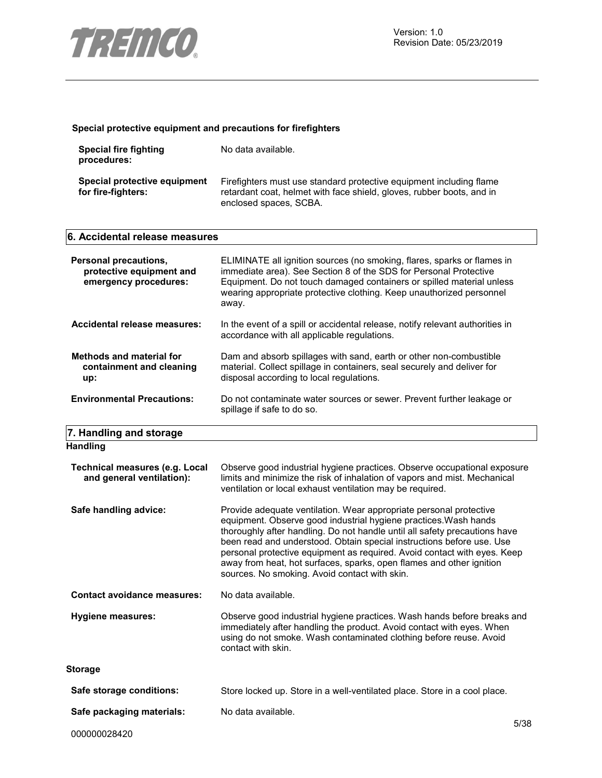

#### **Special protective equipment and precautions for firefighters**

| Special fire fighting<br>procedures:               | No data available.                                                                                                                                                     |
|----------------------------------------------------|------------------------------------------------------------------------------------------------------------------------------------------------------------------------|
| Special protective equipment<br>for fire-fighters: | Firefighters must use standard protective equipment including flame<br>retardant coat, helmet with face shield, gloves, rubber boots, and in<br>enclosed spaces, SCBA. |

| 6. Accidental release measures                                             |                                                                                                                                                                                                                                                                                                                                                                                                                                                                                                    |  |  |
|----------------------------------------------------------------------------|----------------------------------------------------------------------------------------------------------------------------------------------------------------------------------------------------------------------------------------------------------------------------------------------------------------------------------------------------------------------------------------------------------------------------------------------------------------------------------------------------|--|--|
| Personal precautions,<br>protective equipment and<br>emergency procedures: | ELIMINATE all ignition sources (no smoking, flares, sparks or flames in<br>immediate area). See Section 8 of the SDS for Personal Protective<br>Equipment. Do not touch damaged containers or spilled material unless<br>wearing appropriate protective clothing. Keep unauthorized personnel<br>away.                                                                                                                                                                                             |  |  |
| Accidental release measures:                                               | In the event of a spill or accidental release, notify relevant authorities in<br>accordance with all applicable regulations.                                                                                                                                                                                                                                                                                                                                                                       |  |  |
| <b>Methods and material for</b><br>containment and cleaning<br>up:         | Dam and absorb spillages with sand, earth or other non-combustible<br>material. Collect spillage in containers, seal securely and deliver for<br>disposal according to local regulations.                                                                                                                                                                                                                                                                                                          |  |  |
| <b>Environmental Precautions:</b>                                          | Do not contaminate water sources or sewer. Prevent further leakage or<br>spillage if safe to do so.                                                                                                                                                                                                                                                                                                                                                                                                |  |  |
| 7. Handling and storage                                                    |                                                                                                                                                                                                                                                                                                                                                                                                                                                                                                    |  |  |
| <b>Handling</b>                                                            |                                                                                                                                                                                                                                                                                                                                                                                                                                                                                                    |  |  |
| <b>Technical measures (e.g. Local</b><br>and general ventilation):         | Observe good industrial hygiene practices. Observe occupational exposure<br>limits and minimize the risk of inhalation of vapors and mist. Mechanical<br>ventilation or local exhaust ventilation may be required.                                                                                                                                                                                                                                                                                 |  |  |
| Safe handling advice:                                                      | Provide adequate ventilation. Wear appropriate personal protective<br>equipment. Observe good industrial hygiene practices. Wash hands<br>thoroughly after handling. Do not handle until all safety precautions have<br>been read and understood. Obtain special instructions before use. Use<br>personal protective equipment as required. Avoid contact with eyes. Keep<br>away from heat, hot surfaces, sparks, open flames and other ignition<br>sources. No smoking. Avoid contact with skin. |  |  |
| <b>Contact avoidance measures:</b>                                         | No data available.                                                                                                                                                                                                                                                                                                                                                                                                                                                                                 |  |  |
| <b>Hygiene measures:</b>                                                   | Observe good industrial hygiene practices. Wash hands before breaks and<br>immediately after handling the product. Avoid contact with eyes. When<br>using do not smoke. Wash contaminated clothing before reuse. Avoid<br>contact with skin.                                                                                                                                                                                                                                                       |  |  |
| <b>Storage</b>                                                             |                                                                                                                                                                                                                                                                                                                                                                                                                                                                                                    |  |  |

Safe storage conditions: Store locked up. Store in a well-ventilated place. Store in a cool place.

Safe packaging materials: No data available.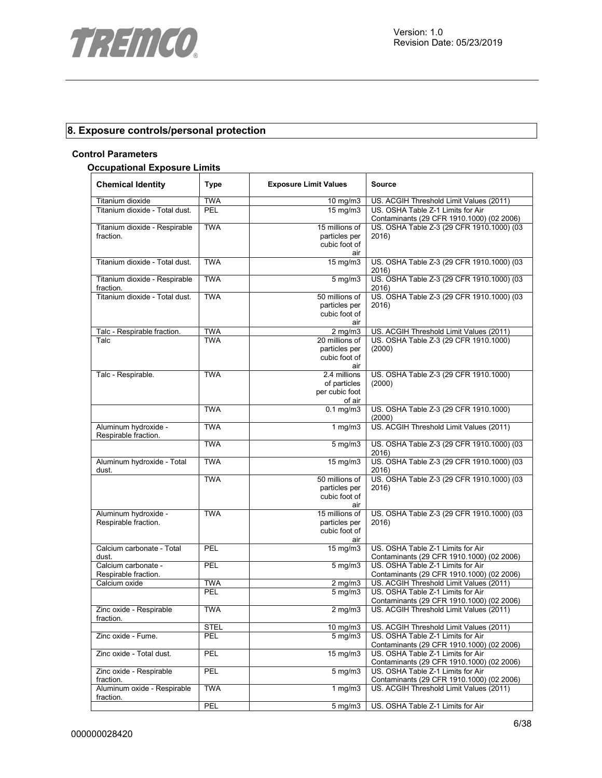

# **8. Exposure controls/personal protection**

#### **Control Parameters**

#### **Occupational Exposure Limits**

| <b>Chemical Identity</b>                     | <b>Type</b> | <b>Exposure Limit Values</b>                             | <b>Source</b>                                                                  |
|----------------------------------------------|-------------|----------------------------------------------------------|--------------------------------------------------------------------------------|
| Titanium dioxide                             | <b>TWA</b>  | 10 mg/m3                                                 | US. ACGIH Threshold Limit Values (2011)                                        |
| Titanium dioxide - Total dust.               | PEL         | 15 mg/m3                                                 | US. OSHA Table Z-1 Limits for Air<br>Contaminants (29 CFR 1910.1000) (02 2006) |
| Titanium dioxide - Respirable<br>fraction.   | <b>TWA</b>  | 15 millions of<br>particles per<br>cubic foot of<br>air  | US. OSHA Table Z-3 (29 CFR 1910.1000) (03<br>2016)                             |
| Titanium dioxide - Total dust.               | <b>TWA</b>  | $\overline{15}$ mg/m3                                    | US. OSHA Table Z-3 (29 CFR 1910.1000) (03<br>2016)                             |
| Titanium dioxide - Respirable<br>fraction.   | <b>TWA</b>  | $5$ mg/m $3$                                             | US. OSHA Table Z-3 (29 CFR 1910.1000) (03<br>2016)                             |
| Titanium dioxide - Total dust.               | <b>TWA</b>  | 50 millions of<br>particles per<br>cubic foot of<br>air  | US. OSHA Table Z-3 (29 CFR 1910.1000) (03<br>2016)                             |
| Talc - Respirable fraction.                  | <b>TWA</b>  | $2$ mg/m $3$                                             | US. ACGIH Threshold Limit Values (2011)                                        |
| Talc                                         | <b>TWA</b>  | 20 millions of<br>particles per<br>cubic foot of<br>air  | US. OSHA Table Z-3 (29 CFR 1910.1000)<br>(2000)                                |
| Talc - Respirable.                           | <b>TWA</b>  | 2.4 millions<br>of particles<br>per cubic foot<br>of air | US. OSHA Table Z-3 (29 CFR 1910.1000)<br>(2000)                                |
|                                              | <b>TWA</b>  | $0.1 \text{ mg/m}$                                       | US. OSHA Table Z-3 (29 CFR 1910.1000)<br>(2000)                                |
| Aluminum hydroxide -<br>Respirable fraction. | <b>TWA</b>  | 1 $mg/m3$                                                | US. ACGIH Threshold Limit Values (2011)                                        |
|                                              | <b>TWA</b>  | $5 \,\mathrm{mg/m}$                                      | US. OSHA Table Z-3 (29 CFR 1910.1000) (03<br>2016)                             |
| Aluminum hydroxide - Total<br>dust.          | <b>TWA</b>  | 15 mg/m3                                                 | US. OSHA Table Z-3 (29 CFR 1910.1000) (03<br>2016)                             |
|                                              | <b>TWA</b>  | 50 millions of<br>particles per<br>cubic foot of<br>air  | US. OSHA Table Z-3 (29 CFR 1910.1000) (03<br>2016)                             |
| Aluminum hydroxide -<br>Respirable fraction. | <b>TWA</b>  | 15 millions of<br>particles per<br>cubic foot of<br>air  | US. OSHA Table Z-3 (29 CFR 1910.1000) (03<br>2016)                             |
| Calcium carbonate - Total<br>dust.           | PEL         | 15 mg/m3                                                 | US. OSHA Table Z-1 Limits for Air<br>Contaminants (29 CFR 1910.1000) (02 2006) |
| Calcium carbonate -<br>Respirable fraction.  | PEL         | 5 mg/m3                                                  | US. OSHA Table Z-1 Limits for Air<br>Contaminants (29 CFR 1910.1000) (02 2006) |
| Calcium oxide                                | <b>TWA</b>  | $2$ mg/m $3$                                             | US. ACGIH Threshold Limit Values (2011)                                        |
|                                              | <b>PEL</b>  | $5 \overline{\mathrm{mg}}$ m3                            | US. OSHA Table Z-1 Limits for Air<br>Contaminants (29 CFR 1910.1000) (02 2006) |
| Zinc oxide - Respirable<br>fraction.         | <b>TWA</b>  | $2$ mg/m $3$                                             | US. ACGIH Threshold Limit Values (2011)                                        |
|                                              | <b>STEL</b> | 10 $mg/m3$                                               | US. ACGIH Threshold Limit Values (2011)                                        |
| Zinc oxide - Fume.                           | <b>PEL</b>  | $5 \text{ mg/m}$ 3                                       | US. OSHA Table Z-1 Limits for Air<br>Contaminants (29 CFR 1910.1000) (02 2006) |
| Zinc oxide - Total dust.                     | PEL         | 15 mg/m3                                                 | US. OSHA Table Z-1 Limits for Air<br>Contaminants (29 CFR 1910.1000) (02 2006) |
| Zinc oxide - Respirable<br>fraction.         | PEL         | $5$ mg/m $3$                                             | US. OSHA Table Z-1 Limits for Air<br>Contaminants (29 CFR 1910.1000) (02 2006) |
| Aluminum oxide - Respirable<br>fraction.     | <b>TWA</b>  | $1$ mg/m $3$                                             | US. ACGIH Threshold Limit Values (2011)                                        |
|                                              | PEL         | 5 mg/m3                                                  | US. OSHA Table Z-1 Limits for Air                                              |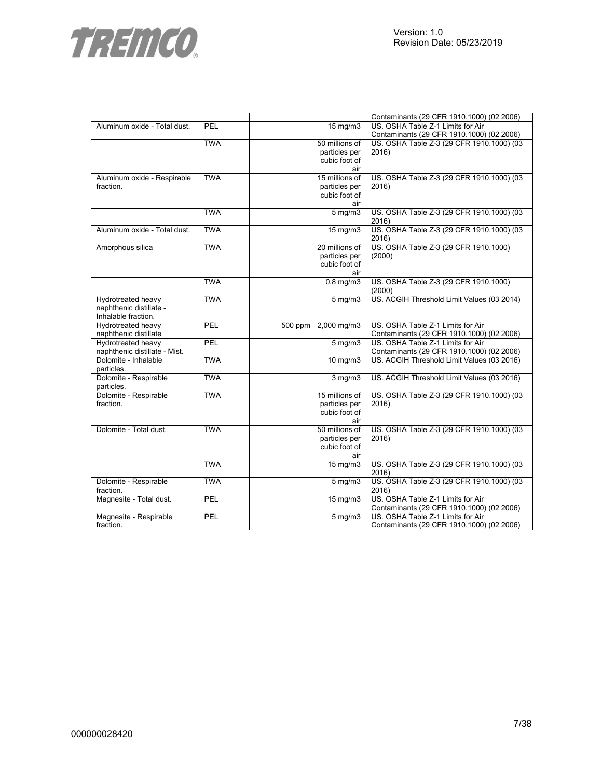

|                               |            |                     | Contaminants (29 CFR 1910.1000) (02 2006)  |
|-------------------------------|------------|---------------------|--------------------------------------------|
| Aluminum oxide - Total dust.  | PEL        | $15 \text{ mg/m}$   | US. OSHA Table Z-1 Limits for Air          |
|                               |            |                     | Contaminants (29 CFR 1910.1000) (02 2006)  |
|                               | <b>TWA</b> | 50 millions of      | US. OSHA Table Z-3 (29 CFR 1910.1000) (03  |
|                               |            | particles per       | 2016)                                      |
|                               |            | cubic foot of       |                                            |
|                               |            | air                 |                                            |
| Aluminum oxide - Respirable   | <b>TWA</b> | 15 millions of      | US. OSHA Table Z-3 (29 CFR 1910.1000) (03  |
| fraction.                     |            | particles per       | 2016)                                      |
|                               |            | cubic foot of       |                                            |
|                               |            | air                 |                                            |
|                               | <b>TWA</b> | $5$ mg/m $3$        | US. OSHA Table Z-3 (29 CFR 1910.1000) (03  |
|                               |            |                     |                                            |
|                               |            |                     | 2016)                                      |
| Aluminum oxide - Total dust.  | <b>TWA</b> | 15 mg/m3            | US. OSHA Table Z-3 (29 CFR 1910.1000) (03  |
|                               |            |                     | 2016)                                      |
| Amorphous silica              | <b>TWA</b> | 20 millions of      | US. OSHA Table Z-3 (29 CFR 1910.1000)      |
|                               |            | particles per       | (2000)                                     |
|                               |            | cubic foot of       |                                            |
|                               |            | air                 |                                            |
|                               | <b>TWA</b> | $0.8$ mg/m $3$      | US. OSHA Table Z-3 (29 CFR 1910.1000)      |
|                               |            |                     | (2000)                                     |
| Hydrotreated heavy            | <b>TWA</b> | $5 \text{ mg/m}$    | US. ACGIH Threshold Limit Values (03 2014) |
| naphthenic distillate -       |            |                     |                                            |
| Inhalable fraction.           |            |                     |                                            |
| Hydrotreated heavy            | PEL        | 500 ppm 2,000 mg/m3 | US. OSHA Table Z-1 Limits for Air          |
| naphthenic distillate         |            |                     | Contaminants (29 CFR 1910.1000) (02 2006)  |
| Hydrotreated heavy            | PEL        | $5$ mg/m $3$        | US. OSHA Table Z-1 Limits for Air          |
| naphthenic distillate - Mist. |            |                     | Contaminants (29 CFR 1910.1000) (02 2006)  |
| Dolomite - Inhalable          | <b>TWA</b> | $10 \text{ mg/m}$   | US. ACGIH Threshold Limit Values (03 2016) |
| particles.                    |            |                     |                                            |
| Dolomite - Respirable         | <b>TWA</b> | $3$ mg/m $3$        | US. ACGIH Threshold Limit Values (03 2016) |
| particles.                    |            |                     |                                            |
| Dolomite - Respirable         | <b>TWA</b> | 15 millions of      | US. OSHA Table Z-3 (29 CFR 1910.1000) (03  |
|                               |            |                     |                                            |
| fraction.                     |            | particles per       | 2016)                                      |
|                               |            | cubic foot of       |                                            |
|                               |            | air                 |                                            |
| Dolomite - Total dust.        | <b>TWA</b> | 50 millions of      | US. OSHA Table Z-3 (29 CFR 1910.1000) (03  |
|                               |            | particles per       | 2016)                                      |
|                               |            | cubic foot of       |                                            |
|                               |            | air                 |                                            |
|                               | <b>TWA</b> | 15 mg/m3            | US. OSHA Table Z-3 (29 CFR 1910.1000) (03  |
|                               |            |                     | 2016)                                      |
| Dolomite - Respirable         | <b>TWA</b> | $5 \text{ mg/m}$    | US. OSHA Table Z-3 (29 CFR 1910.1000) (03  |
| fraction.                     |            |                     | 2016)                                      |
| Magnesite - Total dust.       | PEL        | 15 mg/m3            | US. OSHA Table Z-1 Limits for Air          |
|                               |            |                     | Contaminants (29 CFR 1910.1000) (02 2006)  |
| Magnesite - Respirable        | PEL        | $5$ mg/m $3$        | US. OSHA Table Z-1 Limits for Air          |
| fraction.                     |            |                     | Contaminants (29 CFR 1910.1000) (02 2006)  |
|                               |            |                     |                                            |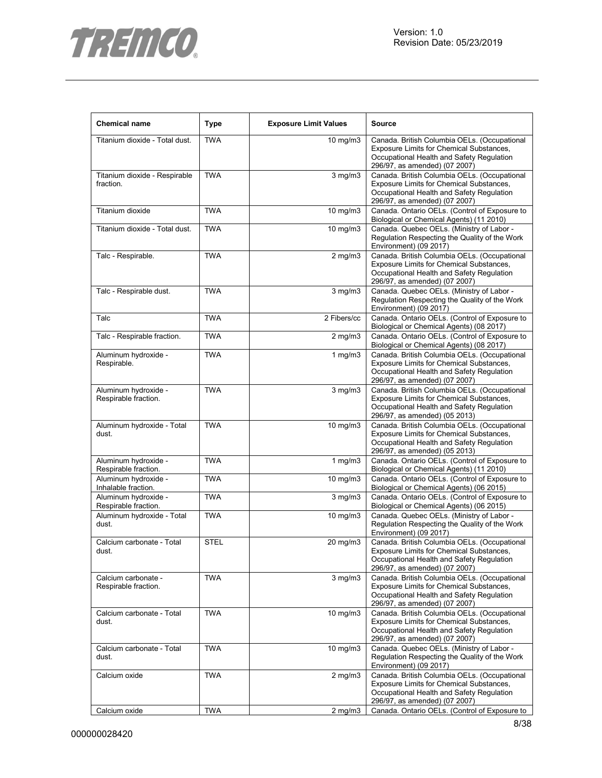

| <b>Chemical name</b>                         | <b>Type</b> | <b>Exposure Limit Values</b> | <b>Source</b>                                                                                                                                                          |
|----------------------------------------------|-------------|------------------------------|------------------------------------------------------------------------------------------------------------------------------------------------------------------------|
| Titanium dioxide - Total dust.               | <b>TWA</b>  | 10 mg/m3                     | Canada. British Columbia OELs. (Occupational<br>Exposure Limits for Chemical Substances,<br>Occupational Health and Safety Regulation<br>296/97, as amended) (07 2007) |
| Titanium dioxide - Respirable<br>fraction.   | <b>TWA</b>  | $3$ mg/m $3$                 | Canada. British Columbia OELs. (Occupational<br>Exposure Limits for Chemical Substances,<br>Occupational Health and Safety Regulation<br>296/97, as amended) (07 2007) |
| Titanium dioxide                             | <b>TWA</b>  | 10 mg/m3                     | Canada. Ontario OELs. (Control of Exposure to<br>Biological or Chemical Agents) (11 2010)                                                                              |
| Titanium dioxide - Total dust.               | <b>TWA</b>  | 10 mg/m3                     | Canada. Quebec OELs. (Ministry of Labor -<br>Regulation Respecting the Quality of the Work<br>Environment) (09 2017)                                                   |
| Talc - Respirable.                           | <b>TWA</b>  | $2$ mg/m $3$                 | Canada. British Columbia OELs. (Occupational<br>Exposure Limits for Chemical Substances,<br>Occupational Health and Safety Regulation<br>296/97, as amended) (07 2007) |
| Talc - Respirable dust.                      | <b>TWA</b>  | $3$ mg/m $3$                 | Canada. Quebec OELs. (Ministry of Labor -<br>Regulation Respecting the Quality of the Work<br>Environment) (09 2017)                                                   |
| Talc                                         | <b>TWA</b>  | $\overline{2}$ Fibers/cc     | Canada. Ontario OELs. (Control of Exposure to<br>Biological or Chemical Agents) (08 2017)                                                                              |
| Talc - Respirable fraction.                  | <b>TWA</b>  | $2$ mg/m $3$                 | Canada. Ontario OELs. (Control of Exposure to<br>Biological or Chemical Agents) (08 2017)                                                                              |
| Aluminum hydroxide -<br>Respirable.          | <b>TWA</b>  | $1$ mg/m $3$                 | Canada. British Columbia OELs. (Occupational<br>Exposure Limits for Chemical Substances,<br>Occupational Health and Safety Regulation<br>296/97, as amended) (07 2007) |
| Aluminum hydroxide -<br>Respirable fraction. | <b>TWA</b>  | $3$ mg/m $3$                 | Canada. British Columbia OELs. (Occupational<br>Exposure Limits for Chemical Substances,<br>Occupational Health and Safety Regulation<br>296/97, as amended) (05 2013) |
| Aluminum hydroxide - Total<br>dust.          | <b>TWA</b>  | 10 mg/m3                     | Canada. British Columbia OELs. (Occupational<br>Exposure Limits for Chemical Substances,<br>Occupational Health and Safety Regulation<br>296/97, as amended) (05 2013) |
| Aluminum hydroxide -<br>Respirable fraction. | <b>TWA</b>  | 1 $mg/m3$                    | Canada. Ontario OELs. (Control of Exposure to<br>Biological or Chemical Agents) (11 2010)                                                                              |
| Aluminum hydroxide -<br>Inhalable fraction.  | <b>TWA</b>  | 10 mg/m3                     | Canada. Ontario OELs. (Control of Exposure to<br>Biological or Chemical Agents) (06 2015)                                                                              |
| Aluminum hydroxide -<br>Respirable fraction. | <b>TWA</b>  | $3$ mg/m $3$                 | Canada. Ontario OELs. (Control of Exposure to<br>Biological or Chemical Agents) (06 2015)                                                                              |
| Aluminum hydroxide - Total<br>dust.          | <b>TWA</b>  | 10 mg/m3                     | Canada. Quebec OELs. (Ministry of Labor -<br>Regulation Respecting the Quality of the Work<br>Environment) (09 2017)                                                   |
| Calcium carbonate - Total<br>dust.           | <b>STEL</b> | 20 mg/m3                     | Canada. British Columbia OELs. (Occupational<br>Exposure Limits for Chemical Substances,<br>Occupational Health and Safety Regulation<br>296/97, as amended) (07 2007) |
| Calcium carbonate -<br>Respirable fraction.  | <b>TWA</b>  | $3$ mg/m $3$                 | Canada. British Columbia OELs. (Occupational<br>Exposure Limits for Chemical Substances,<br>Occupational Health and Safety Regulation<br>296/97, as amended) (07 2007) |
| Calcium carbonate - Total<br>dust.           | <b>TWA</b>  | 10 mg/m3                     | Canada. British Columbia OELs. (Occupational<br>Exposure Limits for Chemical Substances,<br>Occupational Health and Safety Regulation<br>296/97, as amended) (07 2007) |
| Calcium carbonate - Total<br>dust.           | <b>TWA</b>  | 10 mg/m3                     | Canada. Quebec OELs. (Ministry of Labor -<br>Regulation Respecting the Quality of the Work<br>Environment) (09 2017)                                                   |
| Calcium oxide                                | <b>TWA</b>  | $2$ mg/m $3$                 | Canada. British Columbia OELs. (Occupational<br>Exposure Limits for Chemical Substances,<br>Occupational Health and Safety Regulation<br>296/97, as amended) (07 2007) |
| Calcium oxide                                | <b>TWA</b>  | $2$ mg/m $3$                 | Canada. Ontario OELs. (Control of Exposure to                                                                                                                          |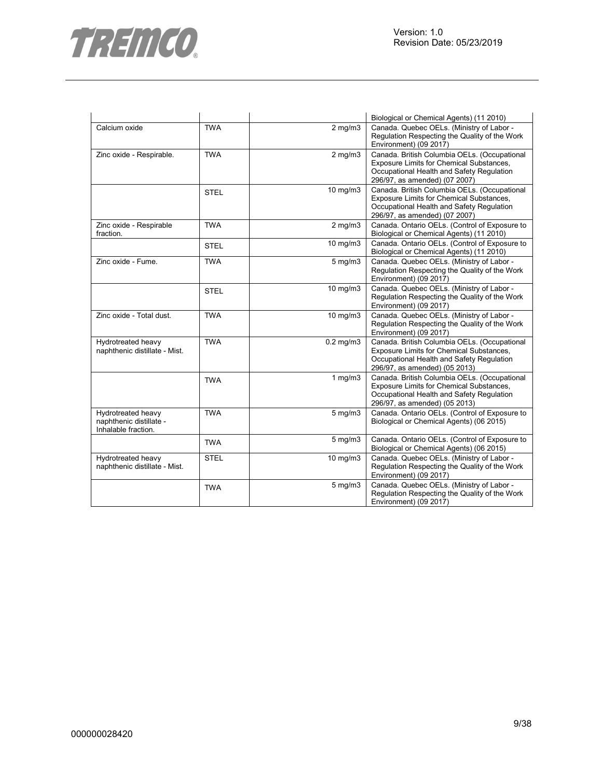



|                                                                      |             |                        | Biological or Chemical Agents) (11 2010)                                                                                                                               |
|----------------------------------------------------------------------|-------------|------------------------|------------------------------------------------------------------------------------------------------------------------------------------------------------------------|
| Calcium oxide                                                        | <b>TWA</b>  | $2$ mg/m $3$           | Canada. Quebec OELs. (Ministry of Labor -<br>Regulation Respecting the Quality of the Work<br>Environment) (09 2017)                                                   |
| Zinc oxide - Respirable.                                             | <b>TWA</b>  | $2$ mg/m $3$           | Canada. British Columbia OELs. (Occupational<br>Exposure Limits for Chemical Substances,<br>Occupational Health and Safety Regulation<br>296/97, as amended) (07 2007) |
|                                                                      | <b>STEL</b> | 10 mg/m3               | Canada. British Columbia OELs. (Occupational<br>Exposure Limits for Chemical Substances,<br>Occupational Health and Safety Regulation<br>296/97, as amended) (07 2007) |
| Zinc oxide - Respirable<br>fraction.                                 | <b>TWA</b>  | $2$ mg/m $3$           | Canada. Ontario OELs. (Control of Exposure to<br>Biological or Chemical Agents) (11 2010)                                                                              |
|                                                                      | <b>STEL</b> | 10 mg/m3               | Canada. Ontario OELs. (Control of Exposure to<br>Biological or Chemical Agents) (11 2010)                                                                              |
| Zinc oxide - Fume.                                                   | <b>TWA</b>  | $5$ mg/m $3$           | Canada. Quebec OELs. (Ministry of Labor -<br>Regulation Respecting the Quality of the Work<br>Environment) (09 2017)                                                   |
|                                                                      | <b>STEL</b> | 10 mg/m3               | Canada. Quebec OELs. (Ministry of Labor -<br>Regulation Respecting the Quality of the Work<br>Environment) (09 2017)                                                   |
| Zinc oxide - Total dust.                                             | <b>TWA</b>  | $10$ mg/m $3$          | Canada. Quebec OELs. (Ministry of Labor -<br>Regulation Respecting the Quality of the Work<br>Environment) (09 2017)                                                   |
| Hydrotreated heavy<br>naphthenic distillate - Mist.                  | <b>TWA</b>  | $\overline{0.2}$ mg/m3 | Canada. British Columbia OELs. (Occupational<br>Exposure Limits for Chemical Substances,<br>Occupational Health and Safety Regulation<br>296/97, as amended) (05 2013) |
|                                                                      | <b>TWA</b>  | 1 $mg/m3$              | Canada. British Columbia OELs. (Occupational<br>Exposure Limits for Chemical Substances,<br>Occupational Health and Safety Regulation<br>296/97, as amended) (05 2013) |
| Hydrotreated heavy<br>naphthenic distillate -<br>Inhalable fraction. | <b>TWA</b>  | $5$ mg/m $3$           | Canada. Ontario OELs. (Control of Exposure to<br>Biological or Chemical Agents) (06 2015)                                                                              |
|                                                                      | <b>TWA</b>  | $5$ mg/m $3$           | Canada. Ontario OELs. (Control of Exposure to<br>Biological or Chemical Agents) (06 2015)                                                                              |
| Hydrotreated heavy<br>naphthenic distillate - Mist.                  | <b>STEL</b> | 10 mg/m3               | Canada. Quebec OELs. (Ministry of Labor -<br>Regulation Respecting the Quality of the Work<br>Environment) (09 2017)                                                   |
|                                                                      | <b>TWA</b>  | $5$ mg/m $3$           | Canada. Quebec OELs. (Ministry of Labor -<br>Regulation Respecting the Quality of the Work<br>Environment) (09 2017)                                                   |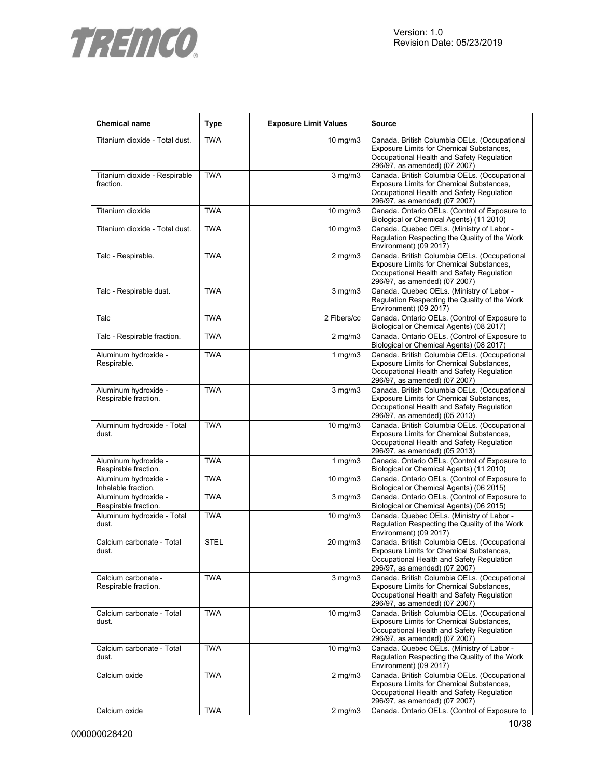

| <b>Chemical name</b>                         | <b>Type</b> | <b>Exposure Limit Values</b> | <b>Source</b>                                                                                                                                                          |
|----------------------------------------------|-------------|------------------------------|------------------------------------------------------------------------------------------------------------------------------------------------------------------------|
| Titanium dioxide - Total dust.               | <b>TWA</b>  | 10 mg/m3                     | Canada. British Columbia OELs. (Occupational<br>Exposure Limits for Chemical Substances,<br>Occupational Health and Safety Regulation<br>296/97, as amended) (07 2007) |
| Titanium dioxide - Respirable<br>fraction.   | <b>TWA</b>  | $3$ mg/m $3$                 | Canada. British Columbia OELs. (Occupational<br>Exposure Limits for Chemical Substances,<br>Occupational Health and Safety Regulation<br>296/97, as amended) (07 2007) |
| Titanium dioxide                             | <b>TWA</b>  | 10 mg/m3                     | Canada. Ontario OELs. (Control of Exposure to<br>Biological or Chemical Agents) (11 2010)                                                                              |
| Titanium dioxide - Total dust.               | <b>TWA</b>  | 10 mg/m3                     | Canada. Quebec OELs. (Ministry of Labor -<br>Regulation Respecting the Quality of the Work<br>Environment) (09 2017)                                                   |
| Talc - Respirable.                           | <b>TWA</b>  | $2$ mg/m $3$                 | Canada. British Columbia OELs. (Occupational<br>Exposure Limits for Chemical Substances,<br>Occupational Health and Safety Regulation<br>296/97, as amended) (07 2007) |
| Talc - Respirable dust.                      | <b>TWA</b>  | $3$ mg/m $3$                 | Canada. Quebec OELs. (Ministry of Labor -<br>Regulation Respecting the Quality of the Work<br>Environment) (09 2017)                                                   |
| Talc                                         | <b>TWA</b>  | 2 Fibers/cc                  | Canada. Ontario OELs. (Control of Exposure to<br>Biological or Chemical Agents) (08 2017)                                                                              |
| Talc - Respirable fraction.                  | <b>TWA</b>  | $2$ mg/m $3$                 | Canada. Ontario OELs. (Control of Exposure to<br>Biological or Chemical Agents) (08 2017)                                                                              |
| Aluminum hydroxide -<br>Respirable.          | <b>TWA</b>  | $1$ mg/m $3$                 | Canada. British Columbia OELs. (Occupational<br>Exposure Limits for Chemical Substances,<br>Occupational Health and Safety Regulation<br>296/97, as amended) (07 2007) |
| Aluminum hydroxide -<br>Respirable fraction. | <b>TWA</b>  | $3$ mg/m $3$                 | Canada. British Columbia OELs. (Occupational<br>Exposure Limits for Chemical Substances,<br>Occupational Health and Safety Regulation<br>296/97, as amended) (05 2013) |
| Aluminum hydroxide - Total<br>dust.          | <b>TWA</b>  | 10 mg/m3                     | Canada. British Columbia OELs. (Occupational<br>Exposure Limits for Chemical Substances,<br>Occupational Health and Safety Regulation<br>296/97, as amended) (05 2013) |
| Aluminum hydroxide -<br>Respirable fraction. | <b>TWA</b>  | 1 $mg/m3$                    | Canada. Ontario OELs. (Control of Exposure to<br>Biological or Chemical Agents) (11 2010)                                                                              |
| Aluminum hydroxide -<br>Inhalable fraction.  | <b>TWA</b>  | 10 mg/m3                     | Canada. Ontario OELs. (Control of Exposure to<br>Biological or Chemical Agents) (06 2015)                                                                              |
| Aluminum hydroxide -<br>Respirable fraction. | <b>TWA</b>  | $\overline{3}$ mg/m $3$      | Canada. Ontario OELs. (Control of Exposure to<br>Biological or Chemical Agents) (06 2015)                                                                              |
| Aluminum hydroxide - Total<br>dust.          | <b>TWA</b>  | 10 mg/m3                     | Canada. Quebec OELs. (Ministry of Labor -<br>Regulation Respecting the Quality of the Work<br>Environment) (09 2017)                                                   |
| Calcium carbonate - Total<br>dust.           | <b>STEL</b> | 20 mg/m3                     | Canada. British Columbia OELs. (Occupational<br>Exposure Limits for Chemical Substances,<br>Occupational Health and Safety Regulation<br>296/97, as amended) (07 2007) |
| Calcium carbonate -<br>Respirable fraction.  | <b>TWA</b>  | $3$ mg/m $3$                 | Canada. British Columbia OELs. (Occupational<br>Exposure Limits for Chemical Substances,<br>Occupational Health and Safety Regulation<br>296/97, as amended) (07 2007) |
| Calcium carbonate - Total<br>dust.           | <b>TWA</b>  | 10 mg/m3                     | Canada. British Columbia OELs. (Occupational<br>Exposure Limits for Chemical Substances,<br>Occupational Health and Safety Regulation<br>296/97, as amended) (07 2007) |
| Calcium carbonate - Total<br>dust.           | <b>TWA</b>  | 10 mg/m3                     | Canada. Quebec OELs. (Ministry of Labor -<br>Regulation Respecting the Quality of the Work<br>Environment) (09 2017)                                                   |
| Calcium oxide                                | <b>TWA</b>  | $2$ mg/m $3$                 | Canada. British Columbia OELs. (Occupational<br>Exposure Limits for Chemical Substances,<br>Occupational Health and Safety Regulation<br>296/97, as amended) (07 2007) |
| Calcium oxide                                | <b>TWA</b>  | $2$ mg/m $3$                 | Canada. Ontario OELs. (Control of Exposure to                                                                                                                          |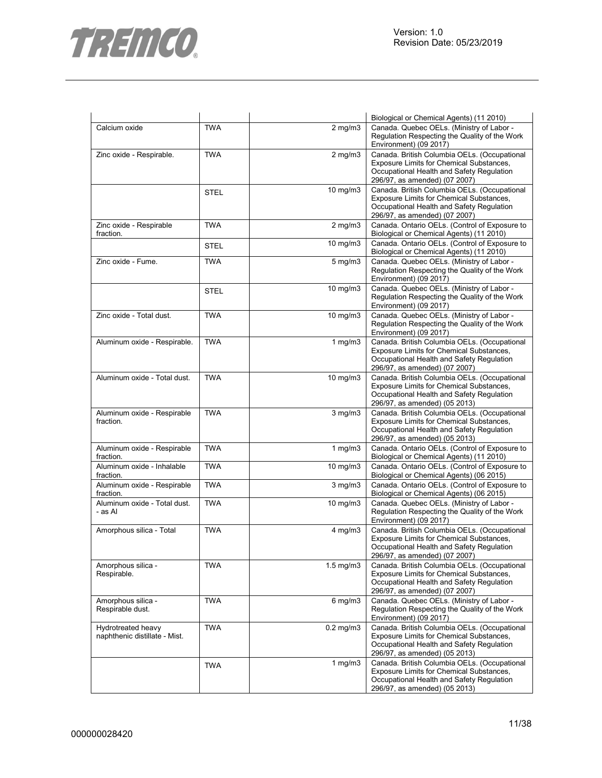



|                                                     |             |                    | Biological or Chemical Agents) (11 2010)                                                                                                                                      |
|-----------------------------------------------------|-------------|--------------------|-------------------------------------------------------------------------------------------------------------------------------------------------------------------------------|
| Calcium oxide                                       | <b>TWA</b>  | $2$ mg/m $3$       | Canada. Quebec OELs. (Ministry of Labor -<br>Regulation Respecting the Quality of the Work<br>Environment) (09 2017)                                                          |
| Zinc oxide - Respirable.                            | <b>TWA</b>  | $2$ mg/m $3$       | Canada. British Columbia OELs. (Occupational<br>Exposure Limits for Chemical Substances,<br>Occupational Health and Safety Regulation<br>296/97, as amended) (07 2007)        |
|                                                     | <b>STEL</b> | 10 mg/m3           | Canada. British Columbia OELs. (Occupational<br>Exposure Limits for Chemical Substances,<br>Occupational Health and Safety Regulation<br>296/97, as amended) (07 2007)        |
| Zinc oxide - Respirable<br>fraction.                | <b>TWA</b>  | $2$ mg/m $3$       | Canada. Ontario OELs. (Control of Exposure to<br>Biological or Chemical Agents) (11 2010)                                                                                     |
|                                                     | <b>STEL</b> | 10 mg/m3           | Canada. Ontario OELs. (Control of Exposure to<br>Biological or Chemical Agents) (11 2010)                                                                                     |
| Zinc oxide - Fume.                                  | <b>TWA</b>  | $5$ mg/m $3$       | Canada. Quebec OELs. (Ministry of Labor -<br>Regulation Respecting the Quality of the Work<br>Environment) (09 2017)                                                          |
|                                                     | STEL        | 10 mg/m3           | Canada. Quebec OELs. (Ministry of Labor -<br>Regulation Respecting the Quality of the Work<br>Environment) (09 2017)                                                          |
| Zinc oxide - Total dust.                            | <b>TWA</b>  | 10 mg/m3           | Canada. Quebec OELs. (Ministry of Labor -<br>Regulation Respecting the Quality of the Work<br>Environment) (09 2017)                                                          |
| Aluminum oxide - Respirable.                        | <b>TWA</b>  | $1$ mg/m $3$       | Canada. British Columbia OELs. (Occupational<br>Exposure Limits for Chemical Substances,<br>Occupational Health and Safety Regulation<br>296/97, as amended) (07 2007)        |
| Aluminum oxide - Total dust.                        | <b>TWA</b>  | 10 mg/m3           | Canada. British Columbia OELs. (Occupational<br>Exposure Limits for Chemical Substances,<br>Occupational Health and Safety Regulation<br>296/97, as amended) (05 2013)        |
| Aluminum oxide - Respirable<br>fraction.            | <b>TWA</b>  | $3$ mg/m $3$       | Canada. British Columbia OELs. (Occupational<br>Exposure Limits for Chemical Substances,<br>Occupational Health and Safety Regulation<br>296/97, as amended) (05 2013)        |
| Aluminum oxide - Respirable<br>fraction.            | <b>TWA</b>  | $1$ mg/m $3$       | Canada. Ontario OELs. (Control of Exposure to<br>Biological or Chemical Agents) (11 2010)                                                                                     |
| Aluminum oxide - Inhalable<br>fraction.             | <b>TWA</b>  | 10 mg/m3           | Canada. Ontario OELs. (Control of Exposure to<br>Biological or Chemical Agents) (06 2015)                                                                                     |
| Aluminum oxide - Respirable<br>fraction.            | <b>TWA</b>  | $3$ mg/m $3$       | Canada. Ontario OELs. (Control of Exposure to<br>Biological or Chemical Agents) (06 2015)                                                                                     |
| Aluminum oxide - Total dust.<br>- as Al             | <b>TWA</b>  | $10 \text{ mg/m}$  | Canada. Quebec OELs. (Ministry of Labor -<br>Regulation Respecting the Quality of the Work<br>Environment) (09 2017)                                                          |
| Amorphous silica - Total                            | <b>TWA</b>  | $4$ mg/m $3$       | Canada. British Columbia OELs. (Occupational<br>Exposure Limits for Chemical Substances,<br>Occupational Health and Safety Regulation<br>296/97, as amended) (07 2007)        |
| Amorphous silica -<br>Respirable.                   | <b>TWA</b>  | $1.5 \text{ mg/m}$ | Canada. British Columbia OELs. (Occupational<br>Exposure Limits for Chemical Substances,<br>Occupational Health and Safety Regulation<br>296/97, as amended) (07 2007)        |
| Amorphous silica -<br>Respirable dust.              | <b>TWA</b>  | $6$ mg/m $3$       | Canada. Quebec OELs. (Ministry of Labor -<br>Regulation Respecting the Quality of the Work<br>Environment) (09 2017)                                                          |
| Hydrotreated heavy<br>naphthenic distillate - Mist. | <b>TWA</b>  | $0.2$ mg/m $3$     | Canada. British Columbia OELs. (Occupational<br>Exposure Limits for Chemical Substances,<br>Occupational Health and Safety Regulation<br>296/97, as amended) (05 2013)        |
|                                                     | <b>TWA</b>  | 1 $mg/m3$          | Canada. British Columbia OELs. (Occupational<br><b>Exposure Limits for Chemical Substances,</b><br>Occupational Health and Safety Regulation<br>296/97, as amended) (05 2013) |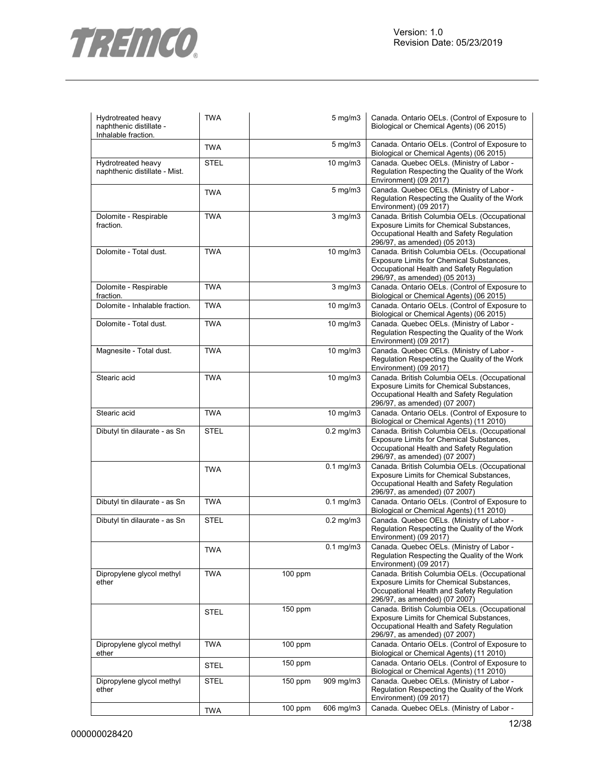



| Hydrotreated heavy<br>naphthenic distillate -<br>Inhalable fraction. | <b>TWA</b>  |           | $5$ mg/m $3$   | Canada. Ontario OELs. (Control of Exposure to<br>Biological or Chemical Agents) (06 2015)                                                                              |
|----------------------------------------------------------------------|-------------|-----------|----------------|------------------------------------------------------------------------------------------------------------------------------------------------------------------------|
|                                                                      | <b>TWA</b>  |           | 5 mg/m3        | Canada. Ontario OELs. (Control of Exposure to<br>Biological or Chemical Agents) (06 2015)                                                                              |
| Hydrotreated heavy<br>naphthenic distillate - Mist.                  | <b>STEL</b> |           | 10 mg/m3       | Canada. Quebec OELs. (Ministry of Labor -<br>Regulation Respecting the Quality of the Work<br>Environment) (09 2017)                                                   |
|                                                                      | <b>TWA</b>  |           | $5$ mg/m $3$   | Canada. Quebec OELs. (Ministry of Labor -<br>Regulation Respecting the Quality of the Work<br>Environment) (09 2017)                                                   |
| Dolomite - Respirable<br>fraction.                                   | <b>TWA</b>  |           | $3$ mg/m $3$   | Canada. British Columbia OELs. (Occupational<br>Exposure Limits for Chemical Substances,<br>Occupational Health and Safety Regulation<br>296/97, as amended) (05 2013) |
| Dolomite - Total dust.                                               | <b>TWA</b>  |           | 10 mg/m3       | Canada. British Columbia OELs. (Occupational<br>Exposure Limits for Chemical Substances,<br>Occupational Health and Safety Regulation<br>296/97, as amended) (05 2013) |
| Dolomite - Respirable<br>fraction.                                   | <b>TWA</b>  |           | $3$ mg/m $3$   | Canada. Ontario OELs. (Control of Exposure to<br>Biological or Chemical Agents) (06 2015)                                                                              |
| Dolomite - Inhalable fraction.                                       | <b>TWA</b>  |           | 10 mg/m3       | Canada. Ontario OELs. (Control of Exposure to<br>Biological or Chemical Agents) (06 2015)                                                                              |
| Dolomite - Total dust.                                               | <b>TWA</b>  |           | 10 mg/m3       | Canada. Quebec OELs. (Ministry of Labor -<br>Regulation Respecting the Quality of the Work<br>Environment) (09 2017)                                                   |
| Magnesite - Total dust.                                              | <b>TWA</b>  |           | 10 mg/m3       | Canada. Quebec OELs. (Ministry of Labor -<br>Regulation Respecting the Quality of the Work<br>Environment) (09 2017)                                                   |
| Stearic acid                                                         | <b>TWA</b>  |           | 10 mg/m3       | Canada. British Columbia OELs. (Occupational<br>Exposure Limits for Chemical Substances,<br>Occupational Health and Safety Regulation<br>296/97, as amended) (07 2007) |
| Stearic acid                                                         | <b>TWA</b>  |           | 10 mg/m3       | Canada. Ontario OELs. (Control of Exposure to<br>Biological or Chemical Agents) (11 2010)                                                                              |
| Dibutyl tin dilaurate - as Sn                                        | <b>STEL</b> |           | $0.2$ mg/m $3$ | Canada. British Columbia OELs. (Occupational<br>Exposure Limits for Chemical Substances,<br>Occupational Health and Safety Regulation<br>296/97, as amended) (07 2007) |
|                                                                      | <b>TWA</b>  |           | $0.1$ mg/m $3$ | Canada. British Columbia OELs. (Occupational<br>Exposure Limits for Chemical Substances,<br>Occupational Health and Safety Regulation<br>296/97, as amended) (07 2007) |
| Dibutyl tin dilaurate - as Sn                                        | <b>TWA</b>  |           | $0.1$ mg/m $3$ | Canada. Ontario OELs. (Control of Exposure to<br>Biological or Chemical Agents) (11 2010)                                                                              |
| Dibutyl tin dilaurate - as Sn                                        | <b>STEL</b> |           | $0.2$ mg/m $3$ | Canada. Quebec OELs. (Ministry of Labor -<br>Regulation Respecting the Quality of the Work<br>Environment) (09 2017)                                                   |
|                                                                      | <b>TWA</b>  |           | $0.1$ mg/m $3$ | Canada. Quebec OELs. (Ministry of Labor -<br>Regulation Respecting the Quality of the Work<br>Environment) (09 2017)                                                   |
| Dipropylene glycol methyl<br>ether                                   | <b>TWA</b>  | 100 ppm   |                | Canada. British Columbia OELs. (Occupational<br>Exposure Limits for Chemical Substances,<br>Occupational Health and Safety Regulation<br>296/97, as amended) (07 2007) |
|                                                                      | <b>STEL</b> | 150 ppm   |                | Canada. British Columbia OELs. (Occupational<br>Exposure Limits for Chemical Substances,<br>Occupational Health and Safety Regulation<br>296/97, as amended) (07 2007) |
| Dipropylene glycol methyl<br>ether                                   | <b>TWA</b>  | $100$ ppm |                | Canada. Ontario OELs. (Control of Exposure to<br>Biological or Chemical Agents) (11 2010)                                                                              |
|                                                                      | <b>STEL</b> | $150$ ppm |                | Canada. Ontario OELs. (Control of Exposure to<br>Biological or Chemical Agents) (11 2010)                                                                              |
| Dipropylene glycol methyl<br>ether                                   | <b>STEL</b> | $150$ ppm | 909 mg/m3      | Canada. Quebec OELs. (Ministry of Labor -<br>Regulation Respecting the Quality of the Work<br>Environment) (09 2017)                                                   |
|                                                                      | <b>TWA</b>  | 100 ppm   | 606 mg/m3      | Canada. Quebec OELs. (Ministry of Labor -                                                                                                                              |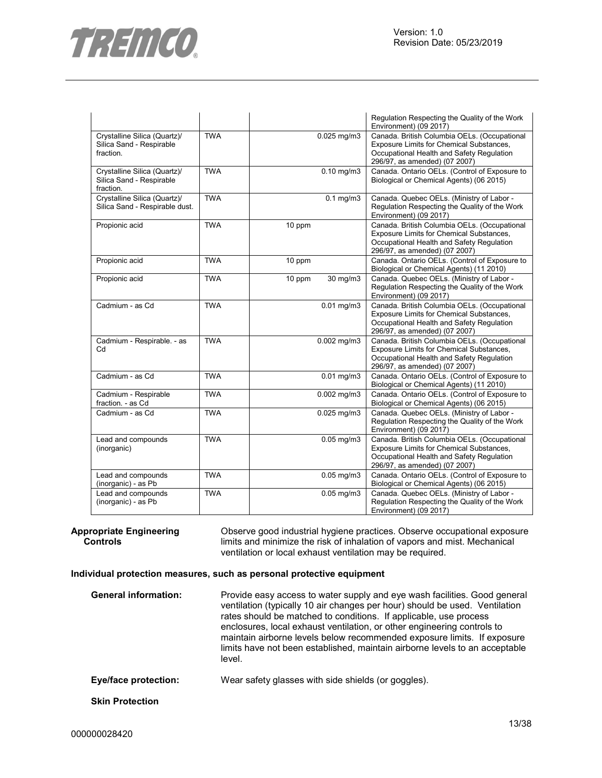

|                                                                       |            |                    | Regulation Respecting the Quality of the Work<br>Environment) (09 2017)                                                                                                |
|-----------------------------------------------------------------------|------------|--------------------|------------------------------------------------------------------------------------------------------------------------------------------------------------------------|
| Crystalline Silica (Quartz)/<br>Silica Sand - Respirable<br>fraction. | <b>TWA</b> | $0.025$ mg/m $3$   | Canada. British Columbia OELs. (Occupational<br>Exposure Limits for Chemical Substances,<br>Occupational Health and Safety Regulation<br>296/97, as amended) (07 2007) |
| Crystalline Silica (Quartz)/<br>Silica Sand - Respirable<br>fraction. | <b>TWA</b> | $0.10$ mg/m $3$    | Canada. Ontario OELs. (Control of Exposure to<br>Biological or Chemical Agents) (06 2015)                                                                              |
| Crystalline Silica (Quartz)/<br>Silica Sand - Respirable dust.        | <b>TWA</b> | $0.1$ mg/m $3$     | Canada. Quebec OELs. (Ministry of Labor -<br>Regulation Respecting the Quality of the Work<br>Environment) (09 2017)                                                   |
| Propionic acid                                                        | <b>TWA</b> | 10 ppm             | Canada. British Columbia OELs. (Occupational<br>Exposure Limits for Chemical Substances,<br>Occupational Health and Safety Regulation<br>296/97, as amended) (07 2007) |
| Propionic acid                                                        | <b>TWA</b> | 10 ppm             | Canada. Ontario OELs. (Control of Exposure to<br>Biological or Chemical Agents) (11 2010)                                                                              |
| Propionic acid                                                        | <b>TWA</b> | 30 mg/m3<br>10 ppm | Canada. Quebec OELs. (Ministry of Labor -<br>Regulation Respecting the Quality of the Work<br>Environment) (09 2017)                                                   |
| Cadmium - as Cd                                                       | <b>TWA</b> | $0.01$ mg/m $3$    | Canada. British Columbia OELs. (Occupational<br>Exposure Limits for Chemical Substances,<br>Occupational Health and Safety Regulation<br>296/97, as amended) (07 2007) |
| Cadmium - Respirable. - as<br>Cd                                      | <b>TWA</b> | $0.002$ mg/m $3$   | Canada. British Columbia OELs. (Occupational<br>Exposure Limits for Chemical Substances,<br>Occupational Health and Safety Regulation<br>296/97, as amended) (07 2007) |
| Cadmium - as Cd                                                       | <b>TWA</b> | $0.01$ mg/m $3$    | Canada. Ontario OELs. (Control of Exposure to<br>Biological or Chemical Agents) (11 2010)                                                                              |
| Cadmium - Respirable<br>fraction. - as Cd                             | <b>TWA</b> | $0.002$ mg/m $3$   | Canada. Ontario OELs. (Control of Exposure to<br>Biological or Chemical Agents) (06 2015)                                                                              |
| Cadmium - as Cd                                                       | <b>TWA</b> | $0.025$ mg/m $3$   | Canada. Quebec OELs. (Ministry of Labor -<br>Regulation Respecting the Quality of the Work<br>Environment) (09 2017)                                                   |
| Lead and compounds<br>(inorganic)                                     | <b>TWA</b> | $0.05$ mg/m $3$    | Canada. British Columbia OELs. (Occupational<br>Exposure Limits for Chemical Substances,<br>Occupational Health and Safety Regulation<br>296/97, as amended) (07 2007) |
| Lead and compounds<br>(inorganic) - as Pb                             | <b>TWA</b> | $0.05$ mg/m $3$    | Canada. Ontario OELs. (Control of Exposure to<br>Biological or Chemical Agents) (06 2015)                                                                              |
| Lead and compounds<br>(inorganic) - as Pb                             | <b>TWA</b> | $0.05$ mg/m $3$    | Canada. Quebec OELs. (Ministry of Labor -<br>Regulation Respecting the Quality of the Work<br>Environment) (09 2017)                                                   |

**Appropriate Engineering Controls**  Observe good industrial hygiene practices. Observe occupational exposure limits and minimize the risk of inhalation of vapors and mist. Mechanical ventilation or local exhaust ventilation may be required.

#### **Individual protection measures, such as personal protective equipment**

| <b>General information:</b> | Provide easy access to water supply and eye wash facilities. Good general<br>ventilation (typically 10 air changes per hour) should be used. Ventilation<br>rates should be matched to conditions. If applicable, use process<br>enclosures, local exhaust ventilation, or other engineering controls to<br>maintain airborne levels below recommended exposure limits. If exposure<br>limits have not been established, maintain airborne levels to an acceptable<br>level. |
|-----------------------------|------------------------------------------------------------------------------------------------------------------------------------------------------------------------------------------------------------------------------------------------------------------------------------------------------------------------------------------------------------------------------------------------------------------------------------------------------------------------------|
| <b>Eye/face protection:</b> | Wear safety glasses with side shields (or goggles).                                                                                                                                                                                                                                                                                                                                                                                                                          |
| <b>Skin Protection</b>      |                                                                                                                                                                                                                                                                                                                                                                                                                                                                              |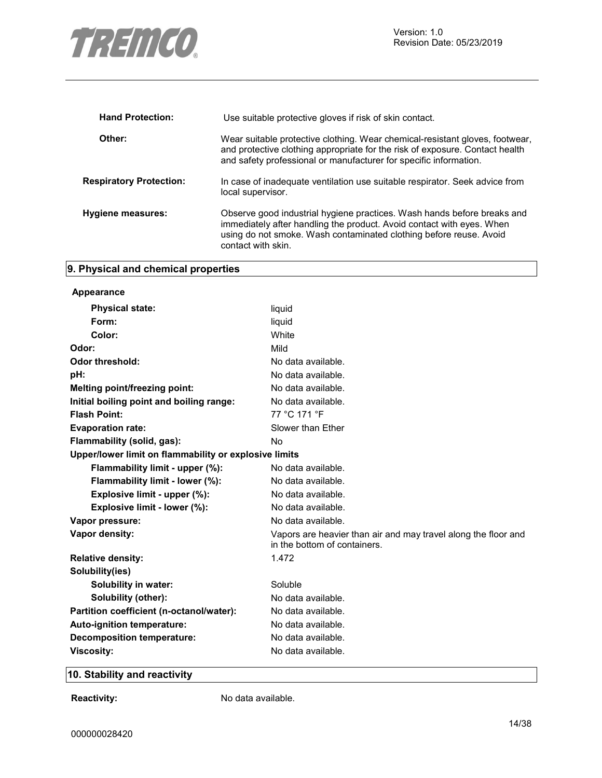

| <b>Hand Protection:</b>        | Use suitable protective gloves if risk of skin contact.                                                                                                                                                                                      |
|--------------------------------|----------------------------------------------------------------------------------------------------------------------------------------------------------------------------------------------------------------------------------------------|
| Other:                         | Wear suitable protective clothing. Wear chemical-resistant gloves, footwear,<br>and protective clothing appropriate for the risk of exposure. Contact health<br>and safety professional or manufacturer for specific information.            |
| <b>Respiratory Protection:</b> | In case of inadequate ventilation use suitable respirator. Seek advice from<br>local supervisor.                                                                                                                                             |
| <b>Hygiene measures:</b>       | Observe good industrial hygiene practices. Wash hands before breaks and<br>immediately after handling the product. Avoid contact with eyes. When<br>using do not smoke. Wash contaminated clothing before reuse. Avoid<br>contact with skin. |

# **9. Physical and chemical properties**

| Appearance                                            |                                                                                                |
|-------------------------------------------------------|------------------------------------------------------------------------------------------------|
| <b>Physical state:</b>                                | liquid                                                                                         |
| Form:                                                 | liquid                                                                                         |
| Color:                                                | White                                                                                          |
| Odor:                                                 | Mild                                                                                           |
| <b>Odor threshold:</b>                                | No data available.                                                                             |
| pH:                                                   | No data available.                                                                             |
| Melting point/freezing point:                         | No data available.                                                                             |
| Initial boiling point and boiling range:              | No data available.                                                                             |
| <b>Flash Point:</b>                                   | 77 °C 171 °F                                                                                   |
| <b>Evaporation rate:</b>                              | Slower than Ether                                                                              |
| Flammability (solid, gas):                            | No                                                                                             |
| Upper/lower limit on flammability or explosive limits |                                                                                                |
| Flammability limit - upper (%):                       | No data available.                                                                             |
| Flammability limit - lower (%):                       | No data available.                                                                             |
| Explosive limit - upper (%):                          | No data available.                                                                             |
| Explosive limit - lower (%):                          | No data available.                                                                             |
| Vapor pressure:                                       | No data available.                                                                             |
| Vapor density:                                        | Vapors are heavier than air and may travel along the floor and<br>in the bottom of containers. |
| <b>Relative density:</b>                              | 1.472                                                                                          |
| Solubility(ies)                                       |                                                                                                |
| Solubility in water:                                  | Soluble                                                                                        |
| Solubility (other):                                   | No data available.                                                                             |
| Partition coefficient (n-octanol/water):              | No data available.                                                                             |
| Auto-ignition temperature:                            | No data available.                                                                             |
| <b>Decomposition temperature:</b>                     | No data available.                                                                             |
| <b>Viscosity:</b>                                     | No data available.                                                                             |

# **10. Stability and reactivity**

**Reactivity:** No data available.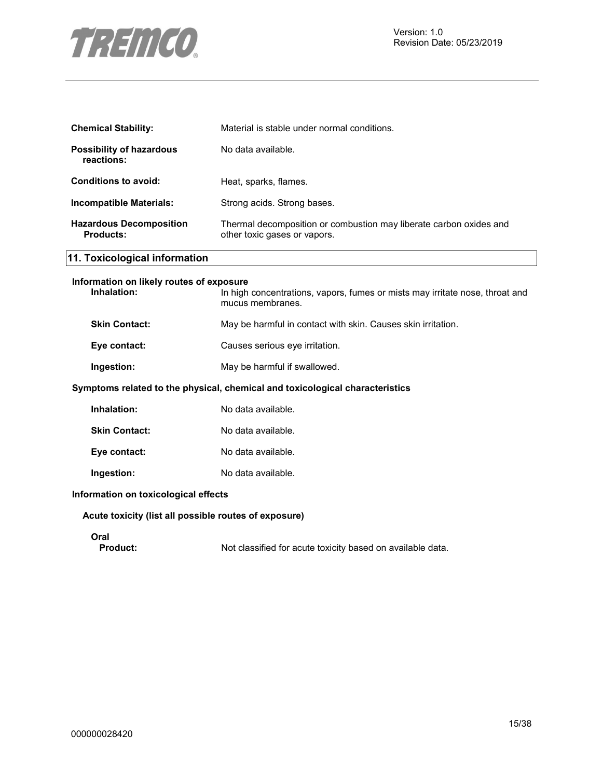

| <b>Chemical Stability:</b>                         | Material is stable under normal conditions.                                                        |
|----------------------------------------------------|----------------------------------------------------------------------------------------------------|
| <b>Possibility of hazardous</b><br>reactions:      | No data available.                                                                                 |
| <b>Conditions to avoid:</b>                        | Heat, sparks, flames.                                                                              |
| Incompatible Materials:                            | Strong acids. Strong bases.                                                                        |
| <b>Hazardous Decomposition</b><br><b>Products:</b> | Thermal decomposition or combustion may liberate carbon oxides and<br>other toxic gases or vapors. |

# **11. Toxicological information**

| Information on likely routes of exposure |                                                                                                  |
|------------------------------------------|--------------------------------------------------------------------------------------------------|
| Inhalation:                              | In high concentrations, vapors, fumes or mists may irritate nose, throat and<br>mucus membranes. |
| <b>Skin Contact:</b>                     | May be harmful in contact with skin. Causes skin irritation.                                     |
| Eye contact:                             | Causes serious eve irritation.                                                                   |
| Ingestion:                               | May be harmful if swallowed.                                                                     |
|                                          |                                                                                                  |

#### **Symptoms related to the physical, chemical and toxicological characteristics**

| Inhalation:          | No data available. |
|----------------------|--------------------|
| <b>Skin Contact:</b> | No data available. |
| Eye contact:         | No data available. |
| Ingestion:           | No data available. |

#### **Information on toxicological effects**

#### **Acute toxicity (list all possible routes of exposure)**

# Oral<br>**Product:**

Not classified for acute toxicity based on available data.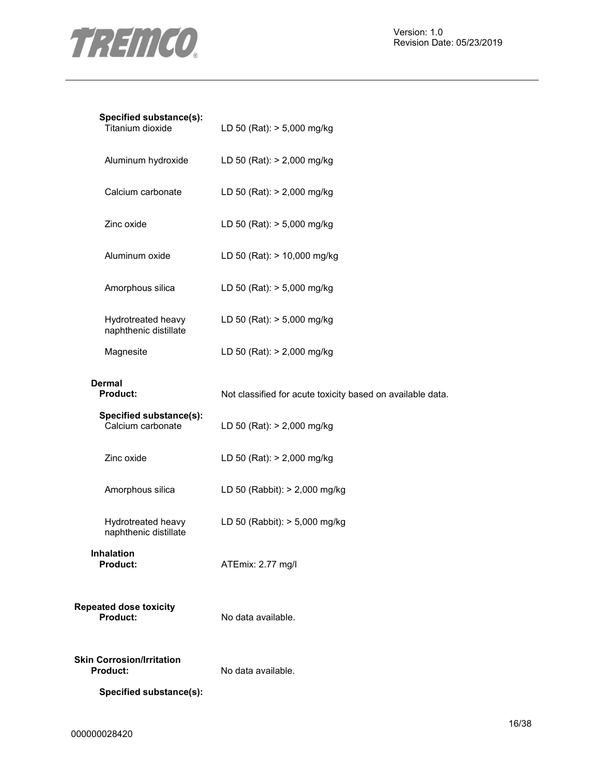

| Specified substance(s):<br>Titanium dioxide         | LD 50 (Rat): > 5,000 mg/kg                                 |
|-----------------------------------------------------|------------------------------------------------------------|
| Aluminum hydroxide                                  | LD 50 (Rat): > 2,000 mg/kg                                 |
| Calcium carbonate                                   | LD 50 (Rat): > 2,000 mg/kg                                 |
| Zinc oxide                                          | LD 50 (Rat): > 5,000 mg/kg                                 |
| Aluminum oxide                                      | LD 50 (Rat): > 10,000 mg/kg                                |
| Amorphous silica                                    | LD 50 (Rat): > 5,000 mg/kg                                 |
| Hydrotreated heavy<br>naphthenic distillate         | LD 50 (Rat): > 5,000 mg/kg                                 |
| Magnesite                                           | LD 50 (Rat): > 2,000 mg/kg                                 |
| Dermal<br><b>Product:</b>                           | Not classified for acute toxicity based on available data. |
| Specified substance(s):<br>Calcium carbonate        | LD 50 (Rat): > 2,000 mg/kg                                 |
| Zinc oxide                                          | LD 50 (Rat): > 2,000 mg/kg                                 |
| Amorphous silica                                    | LD 50 (Rabbit): > 2,000 mg/kg                              |
| Hydrotreated heavy<br>naphthenic distillate         | LD 50 (Rabbit): > 5,000 mg/kg                              |
| <b>Inhalation</b><br>Product:                       | ATEmix: 2.77 mg/l                                          |
| <b>Repeated dose toxicity</b><br><b>Product:</b>    | No data available.                                         |
| <b>Skin Corrosion/Irritation</b><br><b>Product:</b> | No data available.                                         |
| Specified substance(s):                             |                                                            |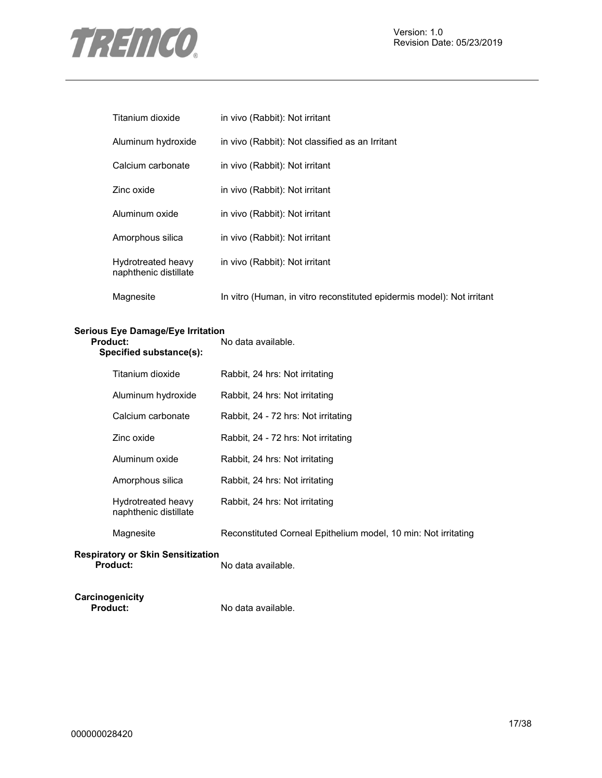

| Titanium dioxide                            | in vivo (Rabbit): Not irritant                                         |
|---------------------------------------------|------------------------------------------------------------------------|
| Aluminum hydroxide                          | in vivo (Rabbit): Not classified as an Irritant                        |
| Calcium carbonate                           | in vivo (Rabbit): Not irritant                                         |
| Zinc oxide                                  | in vivo (Rabbit): Not irritant                                         |
| Aluminum oxide                              | in vivo (Rabbit): Not irritant                                         |
| Amorphous silica                            | in vivo (Rabbit): Not irritant                                         |
| Hydrotreated heavy<br>naphthenic distillate | in vivo (Rabbit): Not irritant                                         |
| Magnesite                                   | In vitro (Human, in vitro reconstituted epidermis model): Not irritant |

# **Serious Eye Damage/Eye Irritation**

| Product:<br>Specified substance(s):         | No data available.                                             |  |
|---------------------------------------------|----------------------------------------------------------------|--|
| Titanium dioxide                            | Rabbit, 24 hrs: Not irritating                                 |  |
| Aluminum hydroxide                          | Rabbit, 24 hrs: Not irritating                                 |  |
| Calcium carbonate                           | Rabbit, 24 - 72 hrs: Not irritating                            |  |
| Zinc oxide                                  | Rabbit, 24 - 72 hrs: Not irritating                            |  |
| Aluminum oxide                              | Rabbit, 24 hrs: Not irritating                                 |  |
| Amorphous silica                            | Rabbit, 24 hrs: Not irritating                                 |  |
| Hydrotreated heavy<br>naphthenic distillate | Rabbit, 24 hrs: Not irritating                                 |  |
| Magnesite                                   | Reconstituted Corneal Epithelium model, 10 min: Not irritating |  |

#### **Respiratory or Skin Sensitization Product:** No data available.

**Carcinogenicity** 

No data available.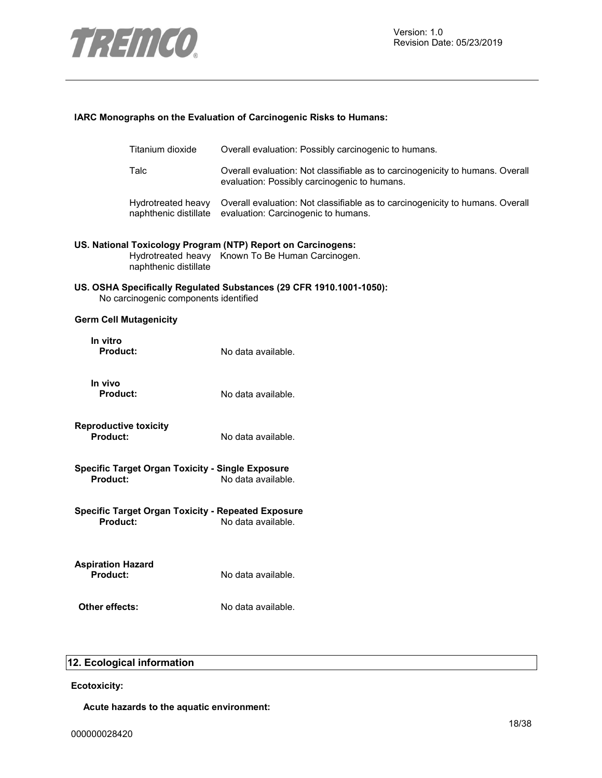

#### **IARC Monographs on the Evaluation of Carcinogenic Risks to Humans:**

|                                             | Titanium dioxide                                          | Overall evaluation: Possibly carcinogenic to humans.                                                                          |
|---------------------------------------------|-----------------------------------------------------------|-------------------------------------------------------------------------------------------------------------------------------|
|                                             | Talc                                                      | Overall evaluation: Not classifiable as to carcinogenicity to humans. Overall<br>evaluation: Possibly carcinogenic to humans. |
|                                             | Hydrotreated heavy<br>naphthenic distillate               | Overall evaluation: Not classifiable as to carcinogenicity to humans. Overall<br>evaluation: Carcinogenic to humans.          |
|                                             | naphthenic distillate                                     | US. National Toxicology Program (NTP) Report on Carcinogens:<br>Hydrotreated heavy Known To Be Human Carcinogen.              |
|                                             | No carcinogenic components identified                     | US. OSHA Specifically Regulated Substances (29 CFR 1910.1001-1050):                                                           |
| <b>Germ Cell Mutagenicity</b>               |                                                           |                                                                                                                               |
| In vitro<br>Product:                        |                                                           | No data available.                                                                                                            |
| In vivo<br>Product:                         |                                                           | No data available.                                                                                                            |
| <b>Reproductive toxicity</b><br>Product:    |                                                           | No data available.                                                                                                            |
| Product:                                    | <b>Specific Target Organ Toxicity - Single Exposure</b>   | No data available.                                                                                                            |
| <b>Product:</b>                             | <b>Specific Target Organ Toxicity - Repeated Exposure</b> | No data available.                                                                                                            |
| <b>Aspiration Hazard</b><br><b>Product:</b> |                                                           | No data available.                                                                                                            |
| Other effects:                              |                                                           | No data available.                                                                                                            |

# **12. Ecological information**

**Ecotoxicity:**

**Acute hazards to the aquatic environment:**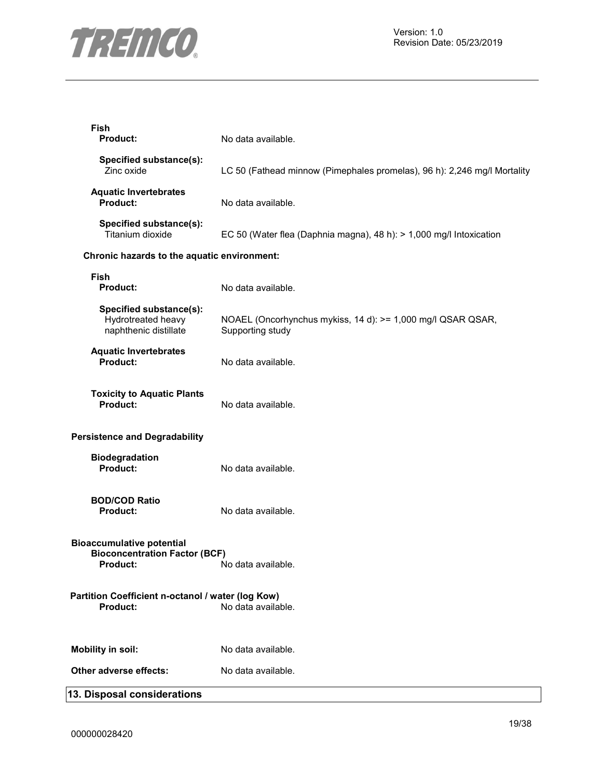

| Fish<br>Product:                                                                                     | No data available.                                                              |
|------------------------------------------------------------------------------------------------------|---------------------------------------------------------------------------------|
| Specified substance(s):<br>Zinc oxide                                                                | LC 50 (Fathead minnow (Pimephales promelas), 96 h): 2,246 mg/l Mortality        |
| <b>Aquatic Invertebrates</b><br><b>Product:</b>                                                      | No data available.                                                              |
| Specified substance(s):<br>Titanium dioxide                                                          | EC 50 (Water flea (Daphnia magna), 48 h): > 1,000 mg/l Intoxication             |
| Chronic hazards to the aquatic environment:                                                          |                                                                                 |
| <b>Fish</b><br><b>Product:</b>                                                                       | No data available.                                                              |
| Specified substance(s):<br>Hydrotreated heavy<br>naphthenic distillate                               | NOAEL (Oncorhynchus mykiss, 14 d): >= 1,000 mg/l QSAR QSAR,<br>Supporting study |
| <b>Aquatic Invertebrates</b><br><b>Product:</b>                                                      | No data available.                                                              |
| <b>Toxicity to Aquatic Plants</b><br><b>Product:</b>                                                 | No data available.                                                              |
| <b>Persistence and Degradability</b>                                                                 |                                                                                 |
| <b>Biodegradation</b><br><b>Product:</b>                                                             | No data available.                                                              |
| <b>BOD/COD Ratio</b><br><b>Product:</b>                                                              | No data available.                                                              |
| <b>Bioaccumulative potential</b><br><b>Bioconcentration Factor (BCF)</b><br><b>Product:</b> Product: | No data available.                                                              |
| Partition Coefficient n-octanol / water (log Kow)<br><b>Product:</b>                                 | No data available.                                                              |
| <b>Mobility in soil:</b>                                                                             | No data available.                                                              |
| Other adverse effects:                                                                               | No data available.                                                              |
| 13. Disposal considerations                                                                          |                                                                                 |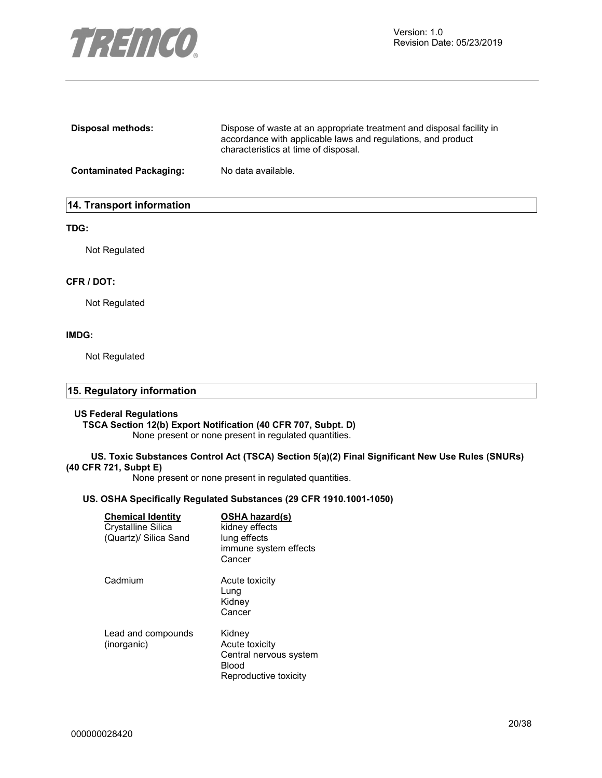

| Disposal methods:              | Dispose of waste at an appropriate treatment and disposal facility in<br>accordance with applicable laws and regulations, and product<br>characteristics at time of disposal. |
|--------------------------------|-------------------------------------------------------------------------------------------------------------------------------------------------------------------------------|
| <b>Contaminated Packaging:</b> | No data available.                                                                                                                                                            |

### **14. Transport information**

#### **TDG:**

Not Regulated

#### **CFR / DOT:**

Not Regulated

#### **IMDG:**

Not Regulated

| 15. Regulatory information |  |
|----------------------------|--|
|                            |  |

#### **US Federal Regulations**

#### **TSCA Section 12(b) Export Notification (40 CFR 707, Subpt. D)**

None present or none present in regulated quantities.

#### **US. Toxic Substances Control Act (TSCA) Section 5(a)(2) Final Significant New Use Rules (SNURs) (40 CFR 721, Subpt E)**

None present or none present in regulated quantities.

#### **US. OSHA Specifically Regulated Substances (29 CFR 1910.1001-1050)**

| <b>Chemical Identity</b><br>Crystalline Silica<br>(Quartz)/ Silica Sand | <b>OSHA hazard(s)</b><br>kidney effects<br>lung effects<br>immune system effects<br>Cancer |
|-------------------------------------------------------------------------|--------------------------------------------------------------------------------------------|
| Cadmium                                                                 | Acute toxicity<br>Lung<br>Kidney<br>Cancer                                                 |
| Lead and compounds<br>(inorganic)                                       | Kidney<br>Acute toxicity<br>Central nervous system<br>Blood<br>Reproductive toxicity       |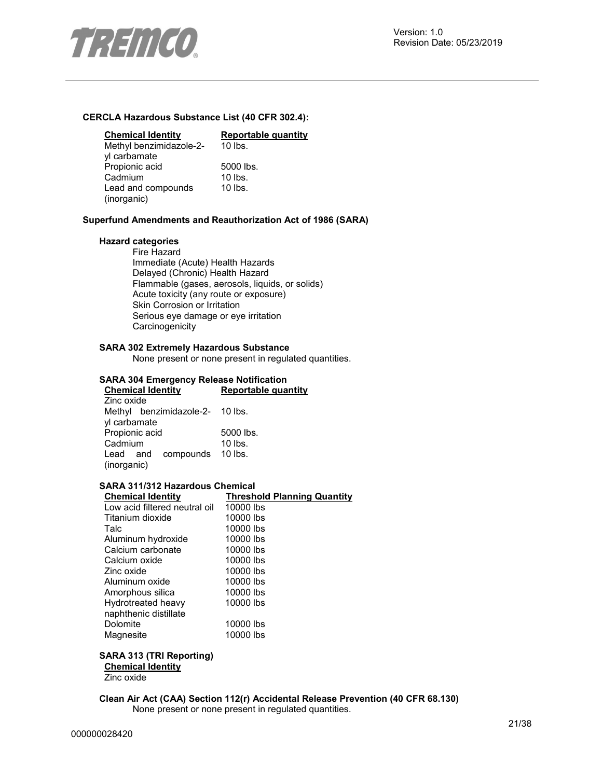

#### **CERCLA Hazardous Substance List (40 CFR 302.4):**

| <b>Chemical Identity</b> | Reportable quantity |
|--------------------------|---------------------|
| Methyl benzimidazole-2-  | $10$ lbs.           |
| yl carbamate             |                     |
| Propionic acid           | 5000 lbs.           |
| Cadmium                  | $10$ lbs.           |
| Lead and compounds       | $10$ lbs.           |
| (inorganic)              |                     |

#### **Superfund Amendments and Reauthorization Act of 1986 (SARA)**

#### **Hazard categories**

Fire Hazard Immediate (Acute) Health Hazards Delayed (Chronic) Health Hazard Flammable (gases, aerosols, liquids, or solids) Acute toxicity (any route or exposure) Skin Corrosion or Irritation Serious eye damage or eye irritation **Carcinogenicity** 

#### **SARA 302 Extremely Hazardous Substance**

None present or none present in regulated quantities.

#### **SARA 304 Emergency Release Notification**

| <b>Chemical Identity</b>        | Reportable quantity |  |
|---------------------------------|---------------------|--|
| Zinc oxide                      |                     |  |
| Methyl benzimidazole-2- 10 lbs. |                     |  |
| yl carbamate                    |                     |  |
| Propionic acid                  | 5000 lbs.           |  |
| Cadmium                         | $10$ lbs.           |  |
| Lead and compounds 10 lbs.      |                     |  |
| (inorganic)                     |                     |  |

### **SARA 311/312 Hazardous Chemical**

| <b>Chemical Identity</b>      | <b>Threshold Planning Quantity</b> |
|-------------------------------|------------------------------------|
| Low acid filtered neutral oil | 10000 lbs                          |
| Titanium dioxide              | 10000 lbs                          |
| Talc                          | 10000 lbs                          |
| Aluminum hydroxide            | 10000 lbs                          |
| Calcium carbonate             | 10000 lbs                          |
| Calcium oxide                 | 10000 lbs                          |
| Zinc oxide                    | 10000 lbs                          |
| Aluminum oxide                | 10000 lbs                          |
| Amorphous silica              | 10000 lbs                          |
| Hydrotreated heavy            | 10000 lbs                          |
| naphthenic distillate         |                                    |
| Dolomite                      | 10000 lbs                          |
| Magnesite                     | 10000 lbs                          |

#### **SARA 313 (TRI Reporting)**

**Chemical Identity**

Zinc oxide

**Clean Air Act (CAA) Section 112(r) Accidental Release Prevention (40 CFR 68.130)**  None present or none present in regulated quantities.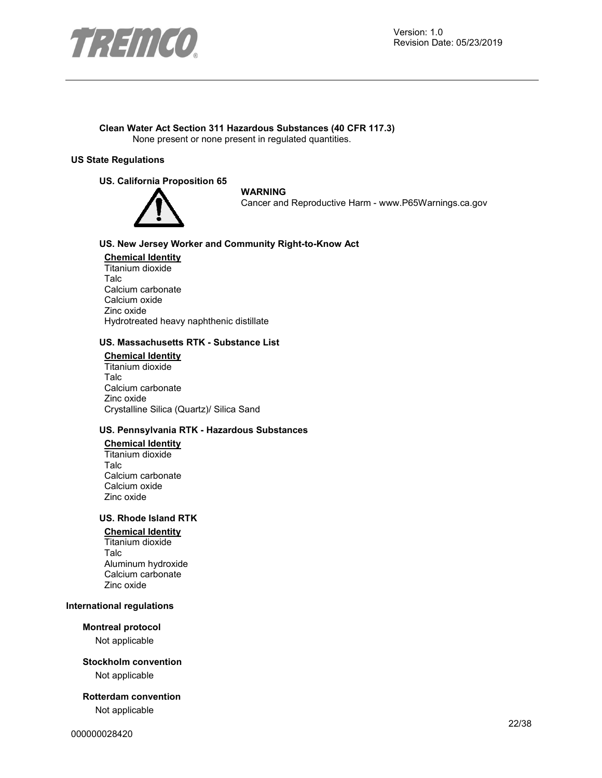

#### **Clean Water Act Section 311 Hazardous Substances (40 CFR 117.3)**  None present or none present in regulated quantities.

#### **US State Regulations**

#### **US. California Proposition 65**



#### **WARNING**

Cancer and Reproductive Harm - www.P65Warnings.ca.gov

#### **US. New Jersey Worker and Community Right-to-Know Act**

**Chemical Identity** Titanium dioxide Talc Calcium carbonate Calcium oxide Zinc oxide Hydrotreated heavy naphthenic distillate

#### **US. Massachusetts RTK - Substance List**

**Chemical Identity** Titanium dioxide Talc Calcium carbonate Zinc oxide Crystalline Silica (Quartz)/ Silica Sand

#### **US. Pennsylvania RTK - Hazardous Substances**

## **Chemical Identity**

Titanium dioxide Talc Calcium carbonate Calcium oxide Zinc oxide

### **US. Rhode Island RTK**

#### **Chemical Identity**

Titanium dioxide Talc Aluminum hydroxide Calcium carbonate Zinc oxide

#### **International regulations**

#### **Montreal protocol**

Not applicable

#### **Stockholm convention**

Not applicable

#### **Rotterdam convention**

Not applicable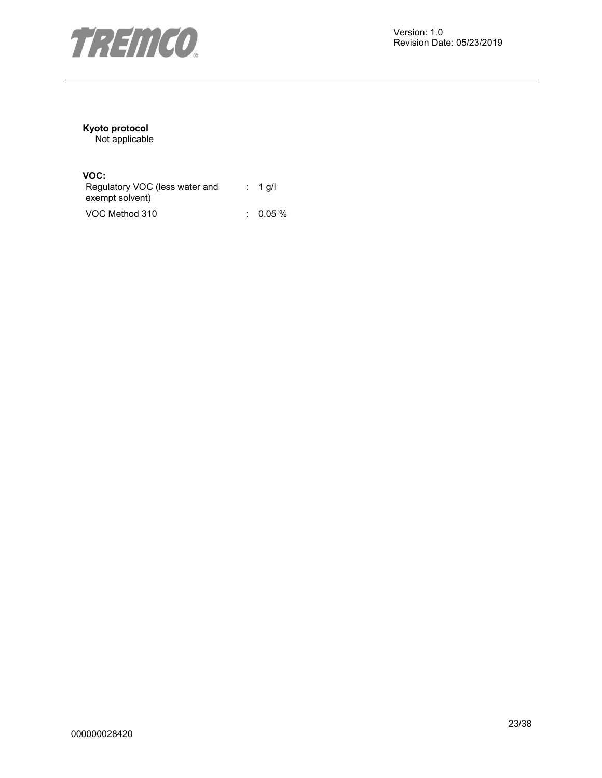

# **Kyoto protocol**

Not applicable

### **VOC:**

| Regulatory VOC (less water and<br>exempt solvent) | : 1 g/l  |
|---------------------------------------------------|----------|
| VOC Method 310                                    | $0.05\%$ |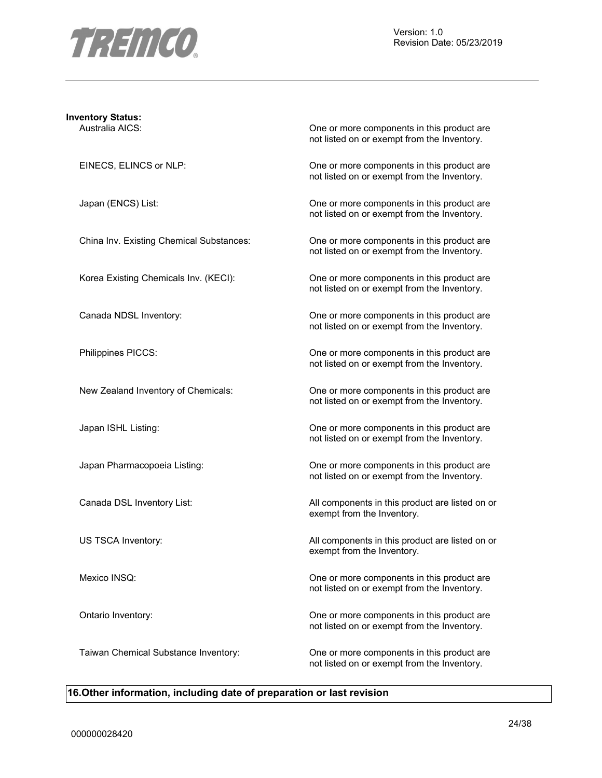

# **Inventory Status:**

Australia AICS: One or more components in this product are not listed on or exempt from the Inventory.

EINECS, ELINCS or NLP: One or more components in this product are not listed on or exempt from the Inventory.

Japan (ENCS) List: One or more components in this product are not listed on or exempt from the Inventory.

China Inv. Existing Chemical Substances: One or more components in this product are not listed on or exempt from the Inventory.

Korea Existing Chemicals Inv. (KECI): One or more components in this product are not listed on or exempt from the Inventory.

Canada NDSL Inventory: One or more components in this product are not listed on or exempt from the Inventory.

Philippines PICCS: One or more components in this product are not listed on or exempt from the Inventory.

New Zealand Inventory of Chemicals: One or more components in this product are not listed on or exempt from the Inventory.

Japan ISHL Listing: One or more components in this product are not listed on or exempt from the Inventory.

Japan Pharmacopoeia Listing: One or more components in this product are not listed on or exempt from the Inventory.

Canada DSL Inventory List: All components in this product are listed on or exempt from the Inventory.

US TSCA Inventory: **All components in this product are listed on or** All components in this product are listed on or exempt from the Inventory.

Mexico INSQ: One or more components in this product are not listed on or exempt from the Inventory.

Ontario Inventory: One or more components in this product are not listed on or exempt from the Inventory.

Taiwan Chemical Substance Inventory: One or more components in this product are not listed on or exempt from the Inventory.

#### **16.Other information, including date of preparation or last revision**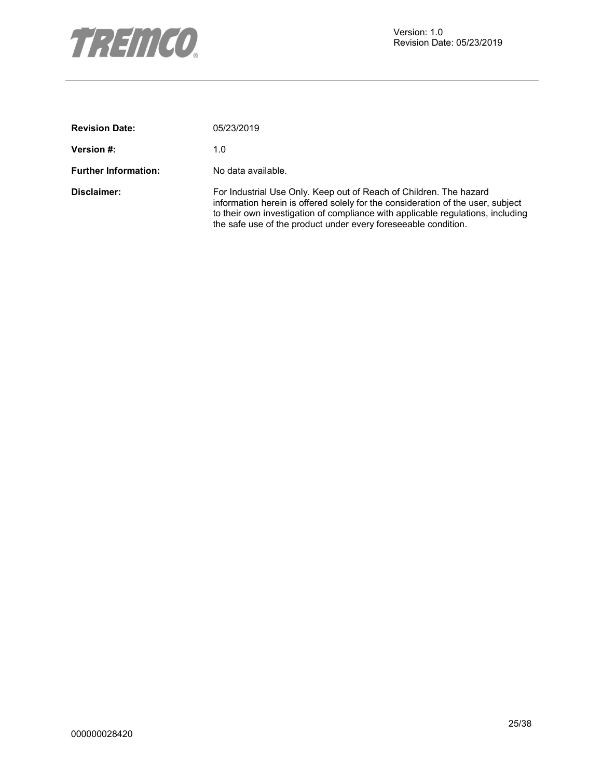

| <b>Revision Date:</b>       | 05/23/2019                                                                                                                                                                                                                                                                                                  |
|-----------------------------|-------------------------------------------------------------------------------------------------------------------------------------------------------------------------------------------------------------------------------------------------------------------------------------------------------------|
| <b>Version #:</b>           | 1.0                                                                                                                                                                                                                                                                                                         |
| <b>Further Information:</b> | No data available.                                                                                                                                                                                                                                                                                          |
| Disclaimer:                 | For Industrial Use Only. Keep out of Reach of Children. The hazard<br>information herein is offered solely for the consideration of the user, subject<br>to their own investigation of compliance with applicable regulations, including<br>the safe use of the product under every fore seeable condition. |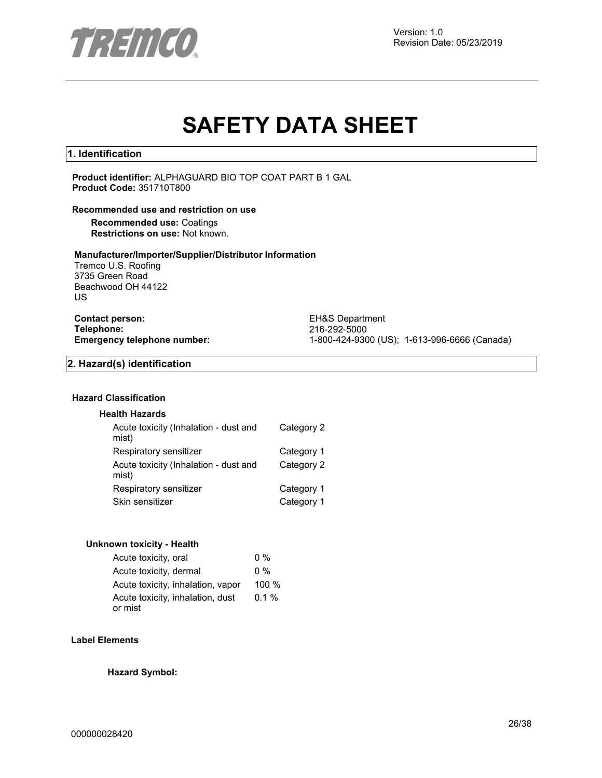

# **SAFETY DATA SHEET**

#### **1. Identification**

**Product identifier:** ALPHAGUARD BIO TOP COAT PART B 1 GAL **Product Code:** 351710T800

#### **Recommended use and restriction on use**

**Recommended use:** Coatings **Restrictions on use:** Not known.

#### **Manufacturer/Importer/Supplier/Distributor Information**

Tremco U.S. Roofing 3735 Green Road Beachwood OH 44122 US

**Contact person:** EH&S Department<br> **Telephone:** 216-292-5000 **Telephone:** 216-292-5000

**Emergency telephone number:** 1-800-424-9300 (US); 1-613-996-6666 (Canada)

#### **2. Hazard(s) identification**

#### **Hazard Classification**

#### **Health Hazards**

| Acute toxicity (Inhalation - dust and<br>mist) | Category 2 |
|------------------------------------------------|------------|
| Respiratory sensitizer                         | Category 1 |
| Acute toxicity (Inhalation - dust and<br>mist) | Category 2 |
| Respiratory sensitizer                         | Category 1 |
| Skin sensitizer                                | Category 1 |

#### **Unknown toxicity - Health**

| Acute toxicity, oral              | $0\%$    |
|-----------------------------------|----------|
| Acute toxicity, dermal            | $0\%$    |
| Acute toxicity, inhalation, vapor | 100 %    |
| Acute toxicity, inhalation, dust  | $0.1 \%$ |
| or mist                           |          |

#### **Label Elements**

**Hazard Symbol:**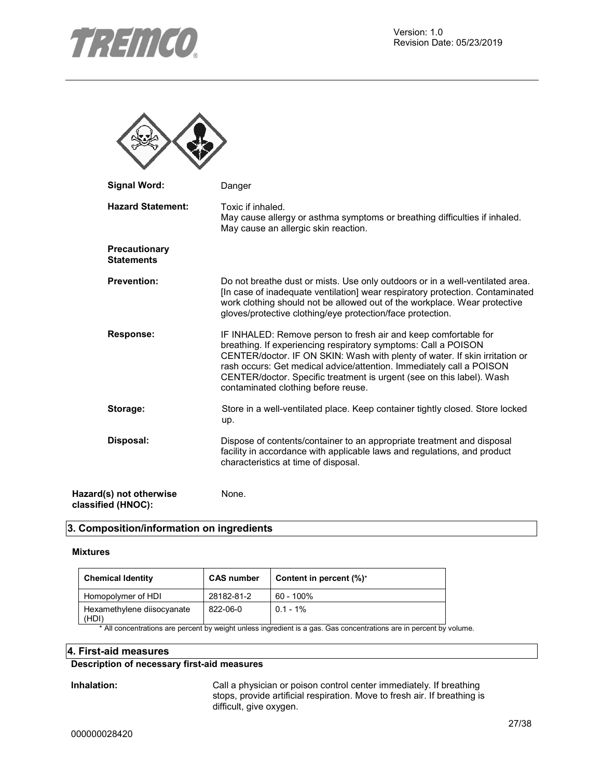

 $\blacktriangle$ 

木

| <b>Signal Word:</b>                           | Danger                                                                                                                                                                                                                                                                                                                                                                                                   |
|-----------------------------------------------|----------------------------------------------------------------------------------------------------------------------------------------------------------------------------------------------------------------------------------------------------------------------------------------------------------------------------------------------------------------------------------------------------------|
| <b>Hazard Statement:</b>                      | Toxic if inhaled.<br>May cause allergy or asthma symptoms or breathing difficulties if inhaled.<br>May cause an allergic skin reaction.                                                                                                                                                                                                                                                                  |
| Precautionary<br><b>Statements</b>            |                                                                                                                                                                                                                                                                                                                                                                                                          |
| <b>Prevention:</b>                            | Do not breathe dust or mists. Use only outdoors or in a well-ventilated area.<br>[In case of inadequate ventilation] wear respiratory protection. Contaminated<br>work clothing should not be allowed out of the workplace. Wear protective<br>gloves/protective clothing/eye protection/face protection.                                                                                                |
| <b>Response:</b>                              | IF INHALED: Remove person to fresh air and keep comfortable for<br>breathing. If experiencing respiratory symptoms: Call a POISON<br>CENTER/doctor. IF ON SKIN: Wash with plenty of water. If skin irritation or<br>rash occurs: Get medical advice/attention. Immediately call a POISON<br>CENTER/doctor. Specific treatment is urgent (see on this label). Wash<br>contaminated clothing before reuse. |
| Storage:                                      | Store in a well-ventilated place. Keep container tightly closed. Store locked<br>up.                                                                                                                                                                                                                                                                                                                     |
| Disposal:                                     | Dispose of contents/container to an appropriate treatment and disposal<br>facility in accordance with applicable laws and regulations, and product<br>characteristics at time of disposal.                                                                                                                                                                                                               |
| Hazard(s) not otherwise<br>classified (HNOC): | None.                                                                                                                                                                                                                                                                                                                                                                                                    |

#### **3. Composition/information on ingredients**

#### **Mixtures**

| <b>Chemical Identity</b>            | <b>CAS number</b> | Content in percent (%)* |
|-------------------------------------|-------------------|-------------------------|
| Homopolymer of HDI                  | 28182-81-2        | $60 - 100\%$            |
| Hexamethylene diisocyanate<br>(HDI) | 822-06-0          | $0.1 - 1\%$             |

\* All concentrations are percent by weight unless ingredient is a gas. Gas concentrations are in percent by volume.

#### **4. First-aid measures**

#### **Description of necessary first-aid measures**

**Inhalation:** Call a physician or poison control center immediately. If breathing stops, provide artificial respiration. Move to fresh air. If breathing is difficult, give oxygen.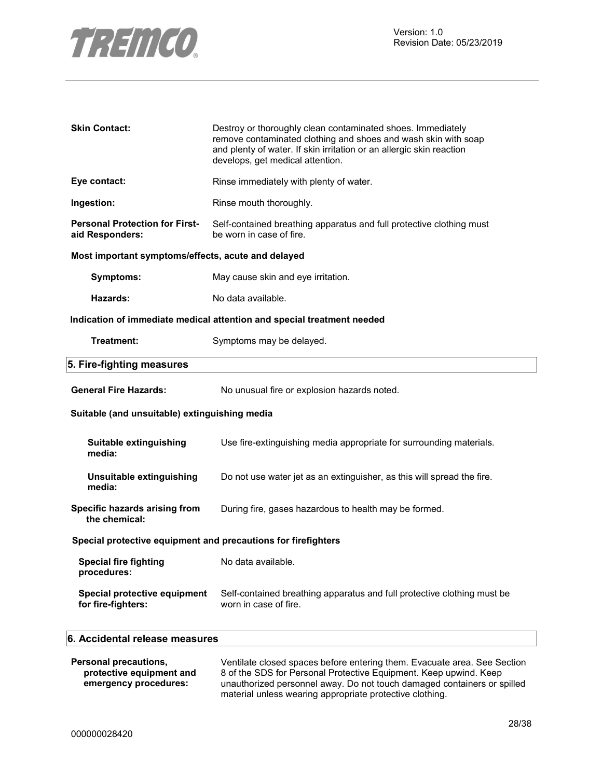

| <b>Skin Contact:</b>                                          | Destroy or thoroughly clean contaminated shoes. Immediately<br>remove contaminated clothing and shoes and wash skin with soap<br>and plenty of water. If skin irritation or an allergic skin reaction<br>develops, get medical attention. |  |
|---------------------------------------------------------------|-------------------------------------------------------------------------------------------------------------------------------------------------------------------------------------------------------------------------------------------|--|
| Eye contact:                                                  | Rinse immediately with plenty of water.                                                                                                                                                                                                   |  |
| Ingestion:                                                    | Rinse mouth thoroughly.                                                                                                                                                                                                                   |  |
| <b>Personal Protection for First-</b><br>aid Responders:      | Self-contained breathing apparatus and full protective clothing must<br>be worn in case of fire.                                                                                                                                          |  |
| Most important symptoms/effects, acute and delayed            |                                                                                                                                                                                                                                           |  |
| <b>Symptoms:</b>                                              | May cause skin and eye irritation.                                                                                                                                                                                                        |  |
| Hazards:                                                      | No data available.                                                                                                                                                                                                                        |  |
|                                                               | Indication of immediate medical attention and special treatment needed                                                                                                                                                                    |  |
| Treatment:                                                    | Symptoms may be delayed.                                                                                                                                                                                                                  |  |
| 5. Fire-fighting measures                                     |                                                                                                                                                                                                                                           |  |
| <b>General Fire Hazards:</b>                                  | No unusual fire or explosion hazards noted.                                                                                                                                                                                               |  |
| Suitable (and unsuitable) extinguishing media                 |                                                                                                                                                                                                                                           |  |
| <b>Suitable extinguishing</b><br>media:                       | Use fire-extinguishing media appropriate for surrounding materials.                                                                                                                                                                       |  |
| Unsuitable extinguishing<br>media:                            | Do not use water jet as an extinguisher, as this will spread the fire.                                                                                                                                                                    |  |
| Specific hazards arising from<br>the chemical:                | During fire, gases hazardous to health may be formed.                                                                                                                                                                                     |  |
| Special protective equipment and precautions for firefighters |                                                                                                                                                                                                                                           |  |
| <b>Special fire fighting</b><br>procedures:                   | No data available.                                                                                                                                                                                                                        |  |
| Special protective equipment<br>for fire-fighters:            | Self-contained breathing apparatus and full protective clothing must be<br>worn in case of fire.                                                                                                                                          |  |
| 6. Accidental release measures                                |                                                                                                                                                                                                                                           |  |

| Personal precautions,    | Ventilate closed spaces before entering them. Evacuate area. See Section                                                            |
|--------------------------|-------------------------------------------------------------------------------------------------------------------------------------|
| protective equipment and | 8 of the SDS for Personal Protective Equipment. Keep upwind. Keep                                                                   |
| emergency procedures:    | unauthorized personnel away. Do not touch damaged containers or spilled<br>material unless wearing appropriate protective clothing. |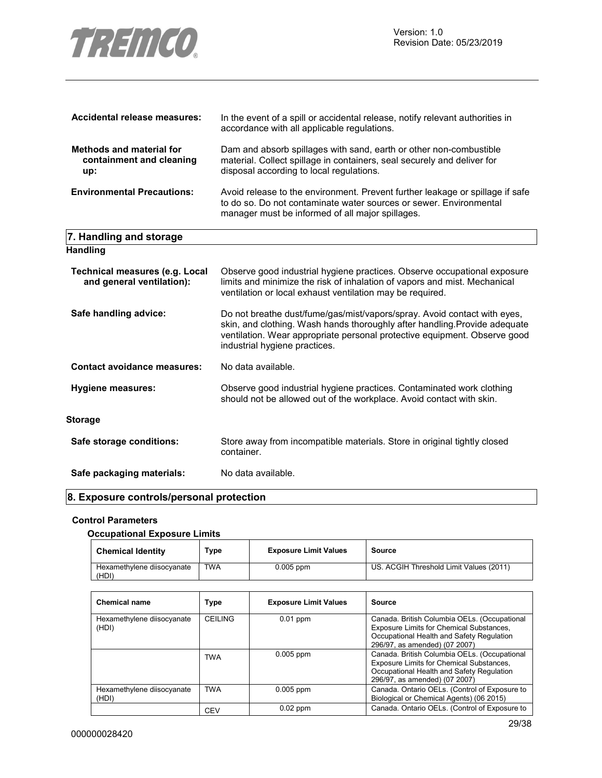

| Accidental release measures:                                       | In the event of a spill or accidental release, notify relevant authorities in<br>accordance with all applicable regulations.                                                                                                                                         |
|--------------------------------------------------------------------|----------------------------------------------------------------------------------------------------------------------------------------------------------------------------------------------------------------------------------------------------------------------|
| <b>Methods and material for</b><br>containment and cleaning<br>up: | Dam and absorb spillages with sand, earth or other non-combustible<br>material. Collect spillage in containers, seal securely and deliver for<br>disposal according to local regulations.                                                                            |
| <b>Environmental Precautions:</b>                                  | Avoid release to the environment. Prevent further leakage or spillage if safe<br>to do so. Do not contaminate water sources or sewer. Environmental<br>manager must be informed of all major spillages.                                                              |
| 7. Handling and storage                                            |                                                                                                                                                                                                                                                                      |
| <b>Handling</b>                                                    |                                                                                                                                                                                                                                                                      |
| <b>Technical measures (e.g. Local</b><br>and general ventilation): | Observe good industrial hygiene practices. Observe occupational exposure<br>limits and minimize the risk of inhalation of vapors and mist. Mechanical<br>ventilation or local exhaust ventilation may be required.                                                   |
| Safe handling advice:                                              | Do not breathe dust/fume/gas/mist/vapors/spray. Avoid contact with eyes,<br>skin, and clothing. Wash hands thoroughly after handling. Provide adequate<br>ventilation. Wear appropriate personal protective equipment. Observe good<br>industrial hygiene practices. |
| <b>Contact avoidance measures:</b>                                 | No data available.                                                                                                                                                                                                                                                   |
| <b>Hygiene measures:</b>                                           | Observe good industrial hygiene practices. Contaminated work clothing<br>should not be allowed out of the workplace. Avoid contact with skin.                                                                                                                        |
| <b>Storage</b>                                                     |                                                                                                                                                                                                                                                                      |
| Safe storage conditions:                                           | Store away from incompatible materials. Store in original tightly closed<br>container.                                                                                                                                                                               |

Safe packaging materials: No data available.

#### **8. Exposure controls/personal protection**

#### **Control Parameters**

#### **Occupational Exposure Limits**

| <b>Chemical Identity</b>            | Type       | <b>Exposure Limit Values</b> | Source                                  |
|-------------------------------------|------------|------------------------------|-----------------------------------------|
| Hexamethylene diisocyanate<br>(HDI) | <b>TWA</b> | $0.005$ ppm                  | US. ACGIH Threshold Limit Values (2011) |

| <b>Chemical name</b>                | Type           | <b>Exposure Limit Values</b> | Source                                                                                                                                                                 |
|-------------------------------------|----------------|------------------------------|------------------------------------------------------------------------------------------------------------------------------------------------------------------------|
| Hexamethylene diisocyanate<br>(HDI) | <b>CEILING</b> | $0.01$ ppm                   | Canada. British Columbia OELs. (Occupational<br>Exposure Limits for Chemical Substances.<br>Occupational Health and Safety Regulation<br>296/97, as amended) (07 2007) |
|                                     | <b>TWA</b>     | $0.005$ ppm                  | Canada. British Columbia OELs. (Occupational<br>Exposure Limits for Chemical Substances.<br>Occupational Health and Safety Regulation<br>296/97, as amended) (07 2007) |
| Hexamethylene diisocyanate<br>(HDI) | <b>TWA</b>     | $0.005$ ppm                  | Canada. Ontario OELs. (Control of Exposure to<br>Biological or Chemical Agents) (06 2015)                                                                              |
|                                     | <b>CEV</b>     | $0.02$ ppm                   | Canada. Ontario OELs. (Control of Exposure to                                                                                                                          |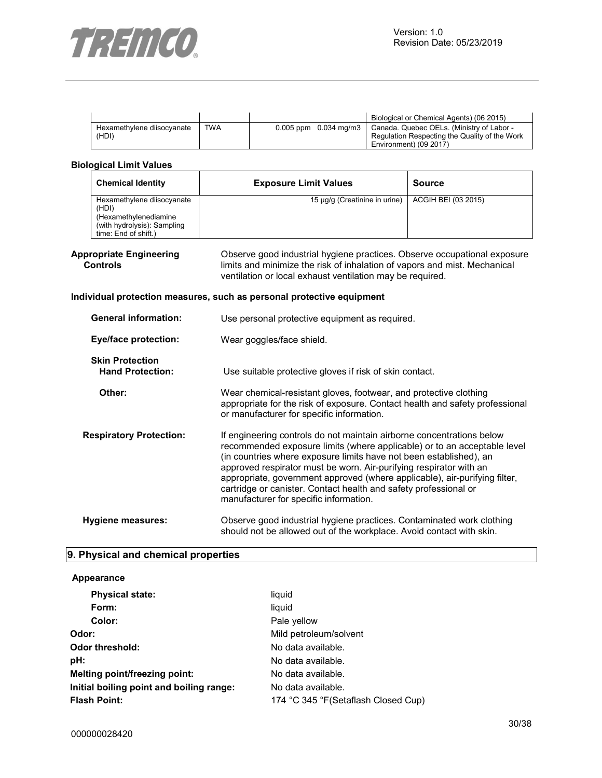

|                                     |            |                           | Biological or Chemical Agents) (06 2015)                                                                             |
|-------------------------------------|------------|---------------------------|----------------------------------------------------------------------------------------------------------------------|
| Hexamethylene diisocyanate<br>(HDI) | <b>TWA</b> | $0.005$ ppm $0.034$ mg/m3 | Canada. Quebec OELs. (Ministry of Labor -<br>Regulation Respecting the Quality of the Work<br>Environment) (09 2017) |

#### **Biological Limit Values**

| <b>Chemical Identity</b>                                                                                            | <b>Exposure Limit Values</b>  | <b>Source</b>       |
|---------------------------------------------------------------------------------------------------------------------|-------------------------------|---------------------|
| Hexamethylene diisocyanate<br>(HDI)<br>(Hexamethylenediamine<br>(with hydrolysis): Sampling<br>time: End of shift.) | 15 µg/g (Creatinine in urine) | ACGIH BEI (03 2015) |

#### **Appropriate Engineering Controls**

Observe good industrial hygiene practices. Observe occupational exposure limits and minimize the risk of inhalation of vapors and mist. Mechanical ventilation or local exhaust ventilation may be required.

#### **Individual protection measures, such as personal protective equipment**

| <b>General information:</b>                       | Use personal protective equipment as required.                                                                                                                                                                                                                                                                                                                                                                                                                                            |  |
|---------------------------------------------------|-------------------------------------------------------------------------------------------------------------------------------------------------------------------------------------------------------------------------------------------------------------------------------------------------------------------------------------------------------------------------------------------------------------------------------------------------------------------------------------------|--|
| <b>Eye/face protection:</b>                       | Wear goggles/face shield.                                                                                                                                                                                                                                                                                                                                                                                                                                                                 |  |
| <b>Skin Protection</b><br><b>Hand Protection:</b> | Use suitable protective gloves if risk of skin contact.                                                                                                                                                                                                                                                                                                                                                                                                                                   |  |
| Other:                                            | Wear chemical-resistant gloves, footwear, and protective clothing<br>appropriate for the risk of exposure. Contact health and safety professional<br>or manufacturer for specific information.                                                                                                                                                                                                                                                                                            |  |
| <b>Respiratory Protection:</b>                    | If engineering controls do not maintain airborne concentrations below<br>recommended exposure limits (where applicable) or to an acceptable level<br>(in countries where exposure limits have not been established), an<br>approved respirator must be worn. Air-purifying respirator with an<br>appropriate, government approved (where applicable), air-purifying filter,<br>cartridge or canister. Contact health and safety professional or<br>manufacturer for specific information. |  |
| <b>Hygiene measures:</b>                          | Observe good industrial hygiene practices. Contaminated work clothing<br>should not be allowed out of the workplace. Avoid contact with skin.                                                                                                                                                                                                                                                                                                                                             |  |

#### **9. Physical and chemical properties**

#### **Appearance**

| <b>Physical state:</b>                   | liquid                               |  |
|------------------------------------------|--------------------------------------|--|
| Form:                                    | liquid                               |  |
| Color:                                   | Pale yellow                          |  |
| Odor:                                    | Mild petroleum/solvent               |  |
| Odor threshold:                          | No data available.                   |  |
| pH:                                      | No data available.                   |  |
| Melting point/freezing point:            | No data available.                   |  |
| Initial boiling point and boiling range: | No data available.                   |  |
| <b>Flash Point:</b>                      | 174 °C 345 °F (Setaflash Closed Cup) |  |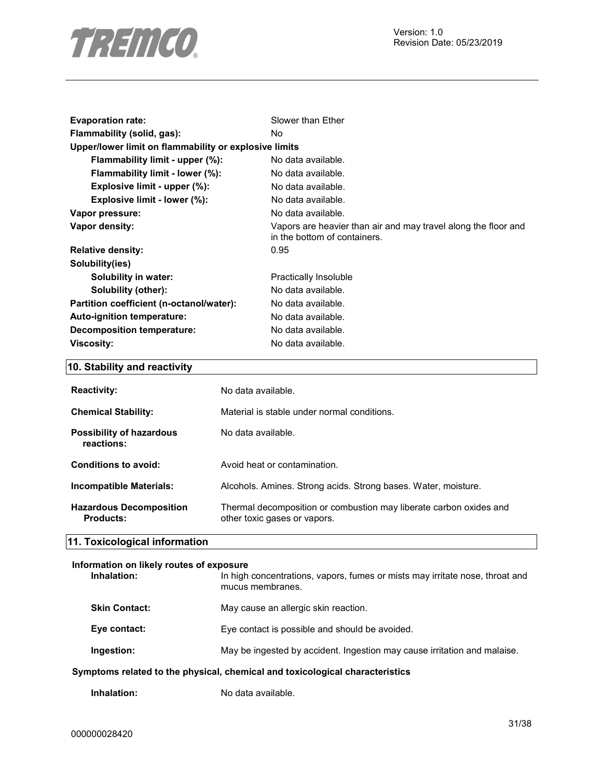

| <b>Evaporation rate:</b>                              | Slower than Ether                                                                              |
|-------------------------------------------------------|------------------------------------------------------------------------------------------------|
| Flammability (solid, gas):                            | No.                                                                                            |
| Upper/lower limit on flammability or explosive limits |                                                                                                |
| Flammability limit - upper (%):                       | No data available.                                                                             |
| Flammability limit - lower (%):                       | No data available.                                                                             |
| Explosive limit - upper $(\%)$ :                      | No data available.                                                                             |
| Explosive limit - lower (%):                          | No data available.                                                                             |
| Vapor pressure:                                       | No data available.                                                                             |
| Vapor density:                                        | Vapors are heavier than air and may travel along the floor and<br>in the bottom of containers. |
| <b>Relative density:</b>                              | 0.95                                                                                           |
| Solubility(ies)                                       |                                                                                                |
| Solubility in water:                                  | Practically Insoluble                                                                          |
| Solubility (other):                                   | No data available.                                                                             |
| Partition coefficient (n-octanol/water):              | No data available.                                                                             |
| Auto-ignition temperature:                            | No data available.                                                                             |
| <b>Decomposition temperature:</b>                     | No data available.                                                                             |
| Viscosity:                                            | No data available.                                                                             |

# **10. Stability and reactivity**

| <b>Reactivity:</b>                          | No data available.                                                                                 |
|---------------------------------------------|----------------------------------------------------------------------------------------------------|
| <b>Chemical Stability:</b>                  | Material is stable under normal conditions.                                                        |
| Possibility of hazardous<br>reactions:      | No data available.                                                                                 |
| Conditions to avoid:                        | Avoid heat or contamination.                                                                       |
| <b>Incompatible Materials:</b>              | Alcohols. Amines. Strong acids. Strong bases. Water, moisture.                                     |
| <b>Hazardous Decomposition</b><br>Products: | Thermal decomposition or combustion may liberate carbon oxides and<br>other toxic gases or vapors. |

# **11. Toxicological information**

#### **Information on likely routes of exposure**  In high concentrations, vapors, fumes or mists may irritate nose, throat and

| nntoms related to the nhysical, chemical and toxicological characteristics |                                                                          |  |
|----------------------------------------------------------------------------|--------------------------------------------------------------------------|--|
| Ingestion:                                                                 | May be ingested by accident. Ingestion may cause irritation and malaise. |  |
| Eye contact:                                                               | Eye contact is possible and should be avoided.                           |  |
| <b>Skin Contact:</b>                                                       | May cause an allergic skin reaction.                                     |  |
|                                                                            | mucus membranes.                                                         |  |

# **Symptoms related to the physical, chemical and toxicological characteristics**

| Inhalation: | No data available. |
|-------------|--------------------|
|             |                    |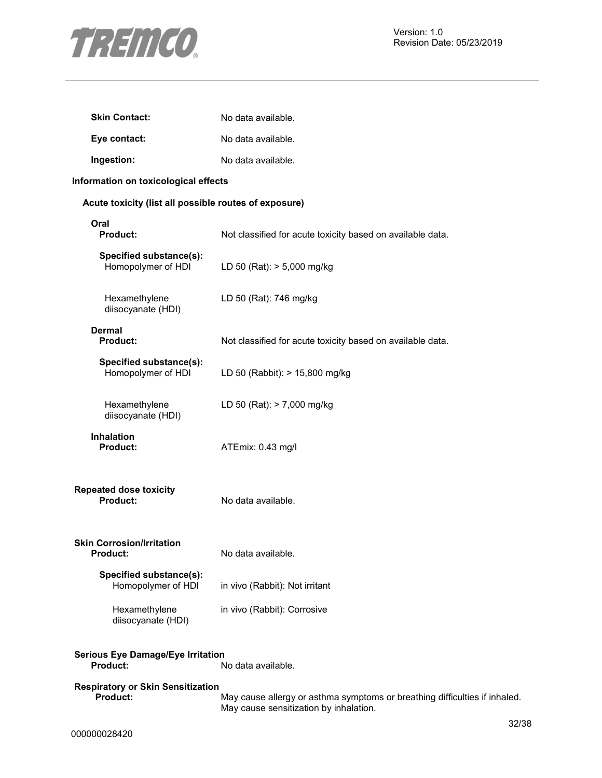

| <b>Skin Contact:</b> | No data available. |
|----------------------|--------------------|
| Eye contact:         | No data available. |
| Ingestion:           | No data available. |

#### **Information on toxicological effects**

#### **Acute toxicity (list all possible routes of exposure)**

| Oral<br><b>Product:</b>                                     | Not classified for acute toxicity based on available data. |
|-------------------------------------------------------------|------------------------------------------------------------|
| Specified substance(s):<br>Homopolymer of HDI               | LD 50 (Rat): > 5,000 mg/kg                                 |
| Hexamethylene<br>diisocyanate (HDI)                         | LD 50 (Rat): 746 mg/kg                                     |
| <b>Dermal</b><br><b>Product:</b>                            | Not classified for acute toxicity based on available data. |
| Specified substance(s):<br>Homopolymer of HDI               | LD 50 (Rabbit): > 15,800 mg/kg                             |
| Hexamethylene<br>diisocyanate (HDI)                         | LD 50 (Rat): > 7,000 mg/kg                                 |
| <b>Inhalation</b><br>Product:                               | ATEmix: 0.43 mg/l                                          |
| <b>Repeated dose toxicity</b><br><b>Product:</b>            | No data available.                                         |
| <b>Skin Corrosion/Irritation</b><br><b>Product:</b>         | No data available.                                         |
| Specified substance(s):<br>Homopolymer of HDI               | in vivo (Rabbit): Not irritant                             |
| Hexamethylene<br>diisocyanate (HDI)                         | in vivo (Rabbit): Corrosive                                |
| <b>Serious Eye Damage/Eye Irritation</b><br><b>Product:</b> | No data available.                                         |
| Dooniratory or Clin Concitization                           |                                                            |

May cause allergy or asthma symptoms or breathing difficulties if inhaled. May cause sensitization by inhalation.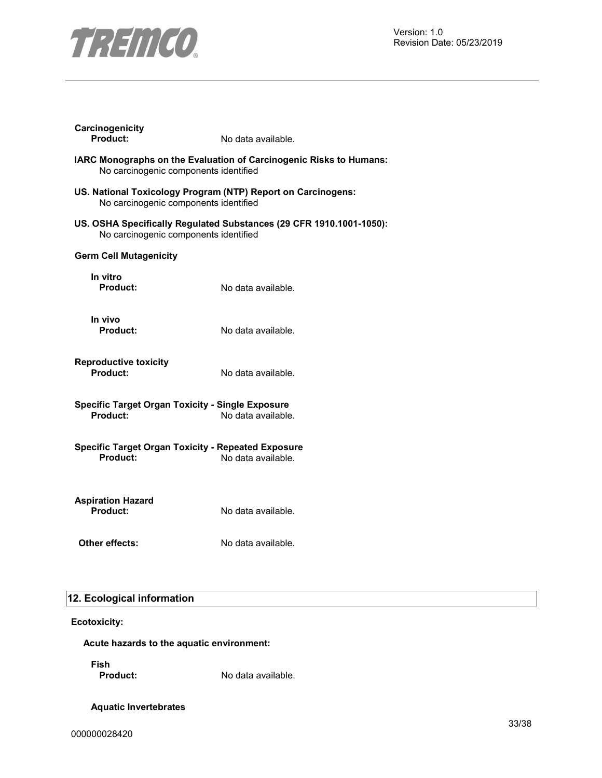

| No carcinogenic components identified<br>No carcinogenic components identified<br>US. OSHA Specifically Regulated Substances (29 CFR 1910.1001-1050):<br>No carcinogenic components identified<br><b>Germ Cell Mutagenicity</b><br>In vitro<br><b>Product:</b><br>No data available.<br>In vivo<br>Product:<br>No data available.<br><b>Reproductive toxicity</b><br>Product:<br>No data available.<br><b>Specific Target Organ Toxicity - Single Exposure</b><br>Product:<br>No data available.<br><b>Specific Target Organ Toxicity - Repeated Exposure</b><br><b>Product:</b><br>No data available.<br><b>Aspiration Hazard</b><br>Product:<br>No data available.<br>Other effects:<br>No data available. | Carcinogenicity<br>Product:                                        | No data available.                                           |  |  |
|--------------------------------------------------------------------------------------------------------------------------------------------------------------------------------------------------------------------------------------------------------------------------------------------------------------------------------------------------------------------------------------------------------------------------------------------------------------------------------------------------------------------------------------------------------------------------------------------------------------------------------------------------------------------------------------------------------------|--------------------------------------------------------------------|--------------------------------------------------------------|--|--|
|                                                                                                                                                                                                                                                                                                                                                                                                                                                                                                                                                                                                                                                                                                              | IARC Monographs on the Evaluation of Carcinogenic Risks to Humans: |                                                              |  |  |
|                                                                                                                                                                                                                                                                                                                                                                                                                                                                                                                                                                                                                                                                                                              |                                                                    | US. National Toxicology Program (NTP) Report on Carcinogens: |  |  |
|                                                                                                                                                                                                                                                                                                                                                                                                                                                                                                                                                                                                                                                                                                              |                                                                    |                                                              |  |  |
|                                                                                                                                                                                                                                                                                                                                                                                                                                                                                                                                                                                                                                                                                                              |                                                                    |                                                              |  |  |
|                                                                                                                                                                                                                                                                                                                                                                                                                                                                                                                                                                                                                                                                                                              |                                                                    |                                                              |  |  |
|                                                                                                                                                                                                                                                                                                                                                                                                                                                                                                                                                                                                                                                                                                              |                                                                    |                                                              |  |  |
|                                                                                                                                                                                                                                                                                                                                                                                                                                                                                                                                                                                                                                                                                                              |                                                                    |                                                              |  |  |
|                                                                                                                                                                                                                                                                                                                                                                                                                                                                                                                                                                                                                                                                                                              |                                                                    |                                                              |  |  |
|                                                                                                                                                                                                                                                                                                                                                                                                                                                                                                                                                                                                                                                                                                              |                                                                    |                                                              |  |  |
|                                                                                                                                                                                                                                                                                                                                                                                                                                                                                                                                                                                                                                                                                                              |                                                                    |                                                              |  |  |
|                                                                                                                                                                                                                                                                                                                                                                                                                                                                                                                                                                                                                                                                                                              |                                                                    |                                                              |  |  |

# **12. Ecological information**

**Ecotoxicity:**

**Acute hazards to the aquatic environment:** 

**Fish** 

No data available.

**Aquatic Invertebrates**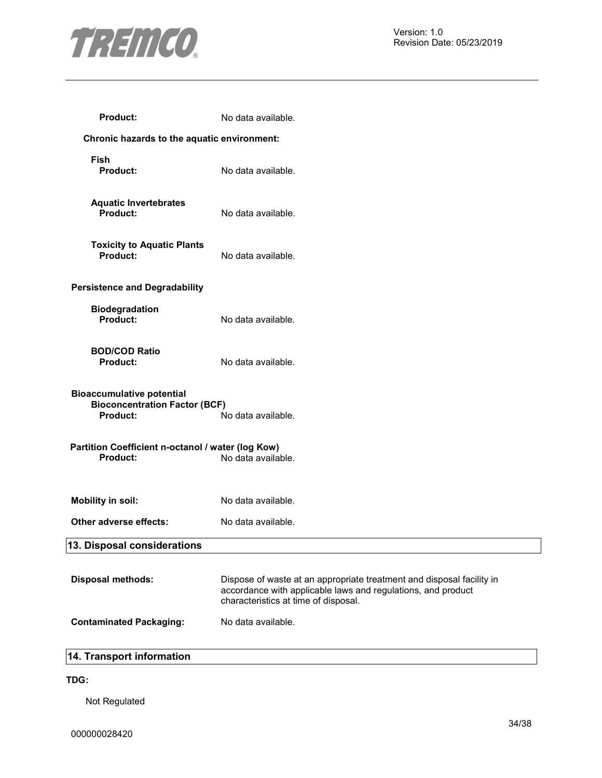

| <b>Product:</b>                                                                      | No data available.                                                                                                                                                            |
|--------------------------------------------------------------------------------------|-------------------------------------------------------------------------------------------------------------------------------------------------------------------------------|
| Chronic hazards to the aquatic environment:                                          |                                                                                                                                                                               |
| Fish<br><b>Product:</b>                                                              | No data available.                                                                                                                                                            |
| <b>Aquatic Invertebrates</b><br>Product:                                             | No data available.                                                                                                                                                            |
| <b>Toxicity to Aquatic Plants</b><br>Product:                                        | No data available.                                                                                                                                                            |
| <b>Persistence and Degradability</b>                                                 |                                                                                                                                                                               |
| <b>Biodegradation</b><br>Product:                                                    | No data available.                                                                                                                                                            |
| <b>BOD/COD Ratio</b><br>Product:                                                     | No data available.                                                                                                                                                            |
| <b>Bioaccumulative potential</b><br><b>Bioconcentration Factor (BCF)</b><br>Product: | No data available.                                                                                                                                                            |
| Partition Coefficient n-octanol / water (log Kow)<br>Product:                        | No data available.                                                                                                                                                            |
| Mobility in soil:                                                                    | No data available.                                                                                                                                                            |
| Other adverse effects:                                                               | No data available.                                                                                                                                                            |
| 13. Disposal considerations                                                          |                                                                                                                                                                               |
| <b>Disposal methods:</b>                                                             | Dispose of waste at an appropriate treatment and disposal facility in<br>accordance with applicable laws and regulations, and product<br>characteristics at time of disposal. |
| <b>Contaminated Packaging:</b>                                                       | No data available.                                                                                                                                                            |
|                                                                                      |                                                                                                                                                                               |

#### **14. Transport information**

#### **TDG:**

Not Regulated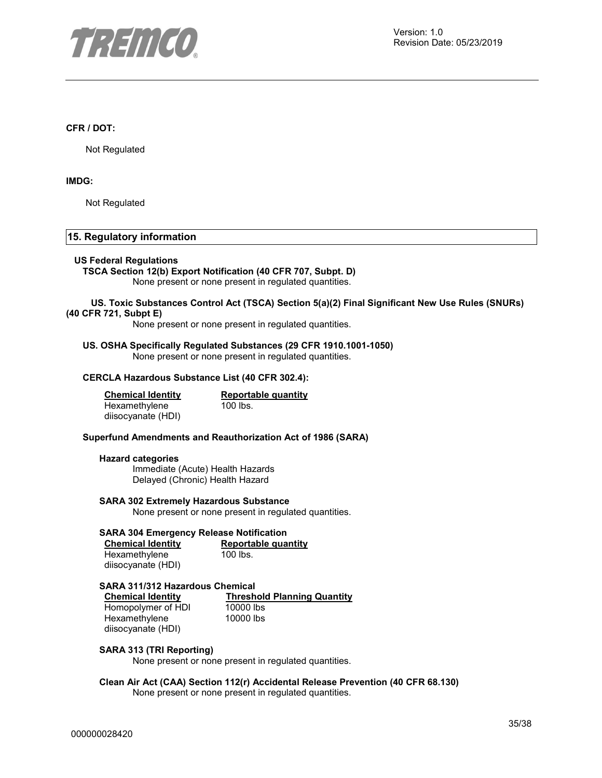

#### **CFR / DOT:**

Not Regulated

#### **IMDG:**

Not Regulated

#### **15. Regulatory information**

#### **US Federal Regulations**

**TSCA Section 12(b) Export Notification (40 CFR 707, Subpt. D)**  None present or none present in regulated quantities.

#### **US. Toxic Substances Control Act (TSCA) Section 5(a)(2) Final Significant New Use Rules (SNURs) (40 CFR 721, Subpt E)**

None present or none present in regulated quantities.

#### **US. OSHA Specifically Regulated Substances (29 CFR 1910.1001-1050)**  None present or none present in regulated quantities.

#### **CERCLA Hazardous Substance List (40 CFR 302.4):**

| <b>Chemical Identity</b> | Reportable quantity |
|--------------------------|---------------------|
| Hexamethylene            | $100$ lbs.          |
| diisocyanate (HDI)       |                     |

#### **Superfund Amendments and Reauthorization Act of 1986 (SARA)**

#### **Hazard categories**

Immediate (Acute) Health Hazards Delayed (Chronic) Health Hazard

#### **SARA 302 Extremely Hazardous Substance**

None present or none present in regulated quantities.

#### **SARA 304 Emergency Release Notification**

| <b>Chemical Identity</b> | Reportable quantity |
|--------------------------|---------------------|
| Hexamethylene            | 100 lbs.            |
| diisocyanate (HDI)       |                     |

**SARA 311/312 Hazardous Chemical Threshold Planning Quantity**<br>10000 lbs Homopolymer of HDI Hexamethylene diisocyanate (HDI) 10000 lbs

#### **SARA 313 (TRI Reporting)**

None present or none present in regulated quantities.

#### **Clean Air Act (CAA) Section 112(r) Accidental Release Prevention (40 CFR 68.130)**  None present or none present in regulated quantities.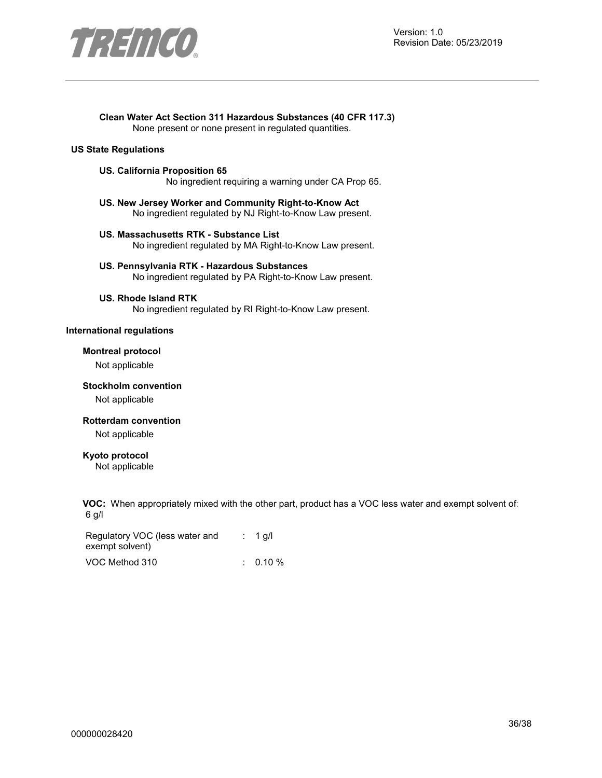

#### **Clean Water Act Section 311 Hazardous Substances (40 CFR 117.3)**

None present or none present in regulated quantities.

#### **US State Regulations**

#### **US. California Proposition 65**

No ingredient requiring a warning under CA Prop 65.

- **US. New Jersey Worker and Community Right-to-Know Act**  No ingredient regulated by NJ Right-to-Know Law present.
- **US. Massachusetts RTK Substance List**  No ingredient regulated by MA Right-to-Know Law present.
- **US. Pennsylvania RTK Hazardous Substances**  No ingredient regulated by PA Right-to-Know Law present.

#### **US. Rhode Island RTK**

No ingredient regulated by RI Right-to-Know Law present.

#### **International regulations**

#### **Montreal protocol**

Not applicable

#### **Stockholm convention**

Not applicable

#### **Rotterdam convention**

Not applicable

#### **Kyoto protocol**

Not applicable

**VOC:** When appropriately mixed with the other part, product has a VOC less water and exempt solvent of: 6 g/l

| Regulatory VOC (less water and | $: 1$ q/l  |
|--------------------------------|------------|
| exempt solvent)                |            |
| VOC Method 310                 | $0.10\ \%$ |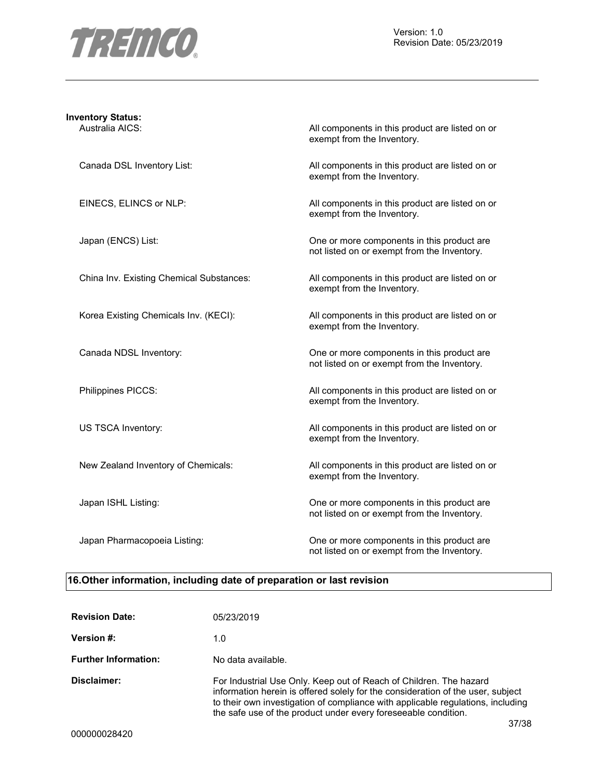

## **Inventory Status:**

Australia AICS: Australia AICS: All components in this product are listed on or exempt from the Inventory.

Canada DSL Inventory List: All components in this product are listed on or exempt from the Inventory.

EINECS, ELINCS or NLP:  $\qquad \qquad$  All components in this product are listed on or exempt from the Inventory.

Japan (ENCS) List: One or more components in this product are not listed on or exempt from the Inventory.

China Inv. Existing Chemical Substances: All components in this product are listed on or exempt from the Inventory.

Korea Existing Chemicals Inv. (KECI): All components in this product are listed on or exempt from the Inventory.

Canada NDSL Inventory: One or more components in this product are not listed on or exempt from the Inventory.

Philippines PICCS: and the state of the All components in this product are listed on or exempt from the Inventory.

US TSCA Inventory: example a set of the All components in this product are listed on or exempt from the Inventory.

New Zealand Inventory of Chemicals: All components in this product are listed on or exempt from the Inventory.

Japan ISHL Listing: One or more components in this product are not listed on or exempt from the Inventory.

Japan Pharmacopoeia Listing: One or more components in this product are not listed on or exempt from the Inventory.

#### **16.Other information, including date of preparation or last revision**

| <b>Revision Date:</b>       | 05/23/2019                                                                                                                                                                                                                                                                                                          |
|-----------------------------|---------------------------------------------------------------------------------------------------------------------------------------------------------------------------------------------------------------------------------------------------------------------------------------------------------------------|
| <b>Version #:</b>           | 1.0                                                                                                                                                                                                                                                                                                                 |
| <b>Further Information:</b> | No data available.                                                                                                                                                                                                                                                                                                  |
| Disclaimer:                 | For Industrial Use Only. Keep out of Reach of Children. The hazard<br>information herein is offered solely for the consideration of the user, subject<br>to their own investigation of compliance with applicable regulations, including<br>the safe use of the product under every foreseeable condition.<br>37/38 |